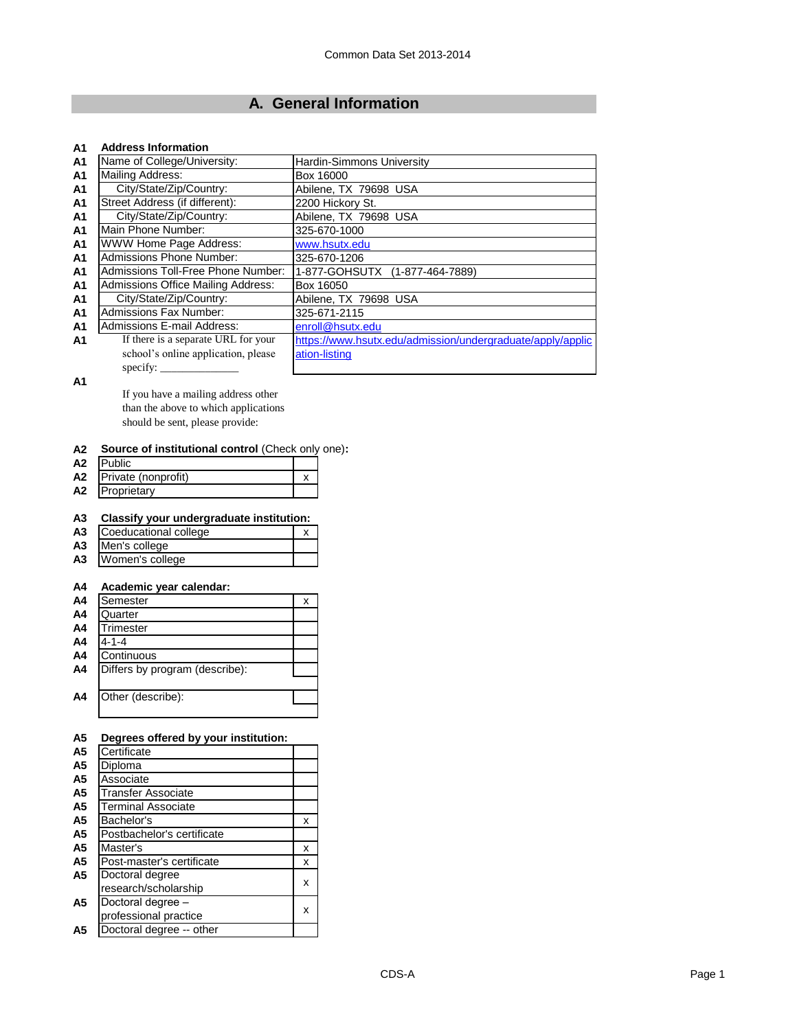# **A. General Information**

#### **A1 Address Information**

| <b>A1</b>      | Name of College/University:         | <b>Hardin-Simmons University</b>                           |
|----------------|-------------------------------------|------------------------------------------------------------|
| <b>A1</b>      | Mailing Address:                    | Box 16000                                                  |
| A <sub>1</sub> | City/State/Zip/Country:             | Abilene, TX 79698 USA                                      |
| <b>A1</b>      | Street Address (if different):      | 2200 Hickory St.                                           |
| <b>A1</b>      | City/State/Zip/Country:             | Abilene, TX 79698 USA                                      |
| <b>A1</b>      | Main Phone Number:                  | 325-670-1000                                               |
| A <sub>1</sub> | WWW Home Page Address:              | www.hsutx.edu                                              |
| A <sub>1</sub> | <b>Admissions Phone Number:</b>     | 325-670-1206                                               |
| A <sub>1</sub> | Admissions Toll-Free Phone Number:  | 1-877-GOHSUTX (1-877-464-7889)                             |
| <b>A1</b>      | Admissions Office Mailing Address:  | Box 16050                                                  |
| A <sub>1</sub> | City/State/Zip/Country:             | Abilene, TX 79698 USA                                      |
| <b>A1</b>      | <b>Admissions Fax Number:</b>       | 325-671-2115                                               |
| A <sub>1</sub> | Admissions E-mail Address:          | enroll@hsutx.edu                                           |
| A1             | If there is a separate URL for your | https://www.hsutx.edu/admission/undergraduate/apply/applic |
|                | school's online application, please | ation-listing                                              |
|                | specify:                            |                                                            |

**A1**

If you have a mailing address other than the above to which applications should be sent, please provide:

#### **A2 Source of institutional control** (Check only one)**:**

| A2             | <b>IPublic</b>         |  |
|----------------|------------------------|--|
|                | A2 Private (nonprofit) |  |
| A <sub>2</sub> | Proprietary            |  |

## **A3 Classify your undergraduate institution:**

| A3 Coeducational college |  |
|--------------------------|--|
| A3 Men's college         |  |

**A3** Women's college

### **A4 Academic year calendar:**

| A4             | Semester                       | х |
|----------------|--------------------------------|---|
| A4             | Quarter                        |   |
| A4             | Trimester                      |   |
| A <sub>4</sub> | $4 - 1 - 4$                    |   |
| A <sub>4</sub> | Continuous                     |   |
| A <sub>4</sub> | Differs by program (describe): |   |
|                |                                |   |
| A4             | Other (describe):              |   |
|                |                                |   |

| A <sub>5</sub> | Degrees offered by your institution: |   |
|----------------|--------------------------------------|---|
| A <sub>5</sub> | Certificate                          |   |
| A5             | Diploma                              |   |
| A <sub>5</sub> | Associate                            |   |
| A <sub>5</sub> | Transfer Associate                   |   |
| A <sub>5</sub> | <b>Terminal Associate</b>            |   |
| A <sub>5</sub> | Bachelor's                           | x |
| A <sub>5</sub> | Postbachelor's certificate           |   |
| A <sub>5</sub> | Master's                             | x |
| A <sub>5</sub> | Post-master's certificate            | x |
| A <sub>5</sub> | Doctoral degree                      |   |
|                | research/scholarship                 | x |
| A <sub>5</sub> | Doctoral degree -                    |   |
|                | professional practice                | x |
| A5             | Doctoral degree -- other             |   |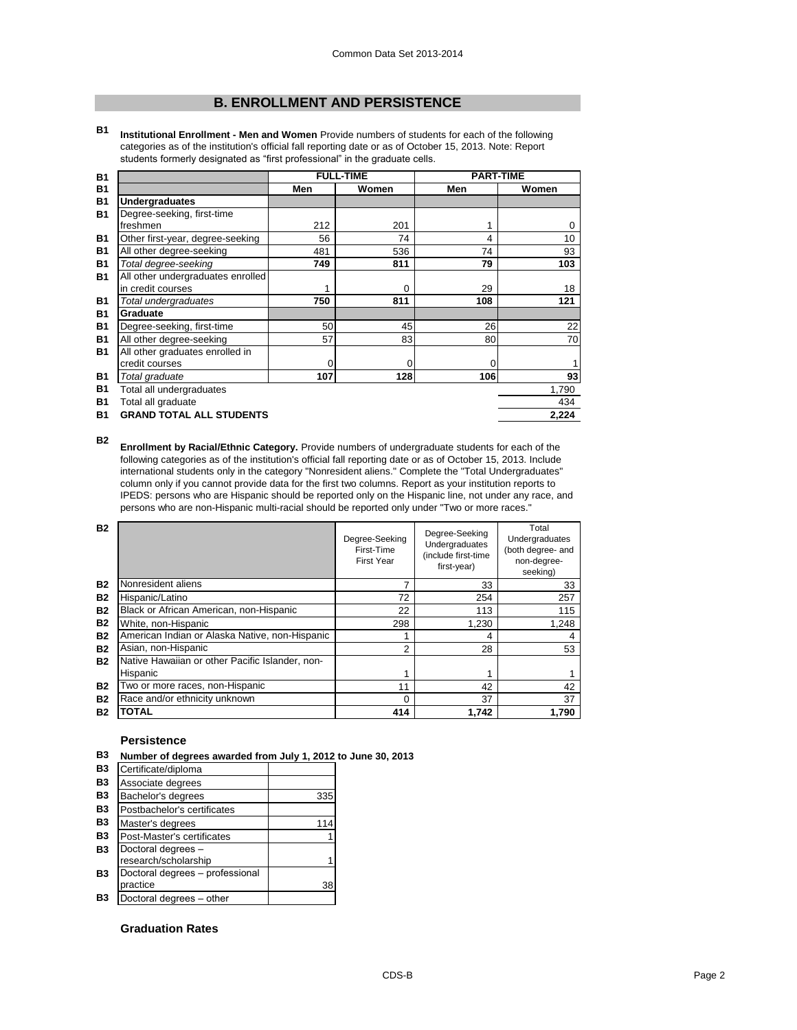## **B. ENROLLMENT AND PERSISTENCE**

**B1 Institutional Enrollment - Men and Women** Provide numbers of students for each of the following categories as of the institution's official fall reporting date or as of October 15, 2013. Note: Report students formerly designated as "first professional" in the graduate cells.

| <b>B1</b> |                                   |     | <b>FULL-TIME</b> | <b>PART-TIME</b> |          |
|-----------|-----------------------------------|-----|------------------|------------------|----------|
| <b>B1</b> |                                   | Men | Women            | Men              | Women    |
| <b>B1</b> | <b>Undergraduates</b>             |     |                  |                  |          |
| <b>B1</b> | Degree-seeking, first-time        |     |                  |                  |          |
|           | freshmen                          | 212 | 201              | 1                | $\Omega$ |
| <b>B1</b> | Other first-year, degree-seeking  | 56  | 74               | 4                | 10       |
| <b>B1</b> | All other degree-seeking          | 481 | 536              | 74               | 93       |
| <b>B1</b> | Total degree-seeking              | 749 | 811              | 79               | 103      |
| <b>B1</b> | All other undergraduates enrolled |     |                  |                  |          |
|           | in credit courses                 |     | 0                | 29               | 18       |
| <b>B1</b> | Total undergraduates              | 750 | 811              | 108              | 121      |
| <b>B1</b> | Graduate                          |     |                  |                  |          |
| <b>B1</b> | Degree-seeking, first-time        | 50  | 45               | 26               | 22       |
| <b>B1</b> | All other degree-seeking          | 57  | 83               | 80               | 70       |
| <b>B1</b> | All other graduates enrolled in   |     |                  |                  |          |
|           | credit courses                    | 0   | 0                | 0                | 1        |
| <b>B1</b> | Total graduate                    | 107 | 128              | 106              | 93       |
| <b>B1</b> | Total all undergraduates          |     |                  |                  | 1,790    |
| <b>B1</b> | Total all graduate                |     |                  |                  | 434      |
| <b>B1</b> | <b>GRAND TOTAL ALL STUDENTS</b>   |     |                  |                  | 2,224    |

**B2 Enrollment by Racial/Ethnic Category.** Provide numbers of undergraduate students for each of the following categories as of the institution's official fall reporting date or as of October 15, 2013. Include international students only in the category "Nonresident aliens." Complete the "Total Undergraduates" column only if you cannot provide data for the first two columns. Report as your institution reports to IPEDS: persons who are Hispanic should be reported only on the Hispanic line, not under any race, and persons who are non-Hispanic multi-racial should be reported only under "Two or more races."

| <b>B2</b> |                                                 | Degree-Seeking<br>First-Time<br><b>First Year</b> | Degree-Seeking<br>Undergraduates<br>(include first-time<br>first-year) | Total<br>Undergraduates<br>(both degree- and<br>non-degree-<br>seeking) |
|-----------|-------------------------------------------------|---------------------------------------------------|------------------------------------------------------------------------|-------------------------------------------------------------------------|
| <b>B2</b> | Nonresident aliens                              | 7                                                 | 33                                                                     | 33                                                                      |
| <b>B2</b> | Hispanic/Latino                                 | 72                                                | 254                                                                    | 257                                                                     |
| <b>B2</b> | Black or African American, non-Hispanic         | 22                                                | 113                                                                    | 115                                                                     |
| <b>B2</b> | White, non-Hispanic                             | 298                                               | 1,230                                                                  | 1.248                                                                   |
| <b>B2</b> | American Indian or Alaska Native, non-Hispanic  |                                                   | 4                                                                      | 4                                                                       |
| <b>B2</b> | Asian, non-Hispanic                             | $\overline{2}$                                    | 28                                                                     | 53                                                                      |
| <b>B2</b> | Native Hawaiian or other Pacific Islander, non- |                                                   |                                                                        |                                                                         |
|           | Hispanic                                        |                                                   |                                                                        |                                                                         |
| <b>B2</b> | Two or more races, non-Hispanic                 | 11                                                | 42                                                                     | 42                                                                      |
| <b>B2</b> | Race and/or ethnicity unknown                   | $\Omega$                                          | 37                                                                     | 37                                                                      |
| <b>B2</b> | <b>TOTAL</b>                                    | 414                                               | 1.742                                                                  | 1.790                                                                   |

#### **Persistence**

**B3 Number of degrees awarded from July 1, 2012 to June 30, 2013**

| Certificate/diploma             |     |
|---------------------------------|-----|
| Associate degrees               |     |
| Bachelor's degrees              | 335 |
| Postbachelor's certificates     |     |
| Master's degrees                | 114 |
| Post-Master's certificates      |     |
| Doctoral degrees -              |     |
| research/scholarship            |     |
| Doctoral degrees - professional |     |
| practice                        | 38  |
| Doctoral degrees - other        |     |
|                                 |     |

#### **Graduation Rates**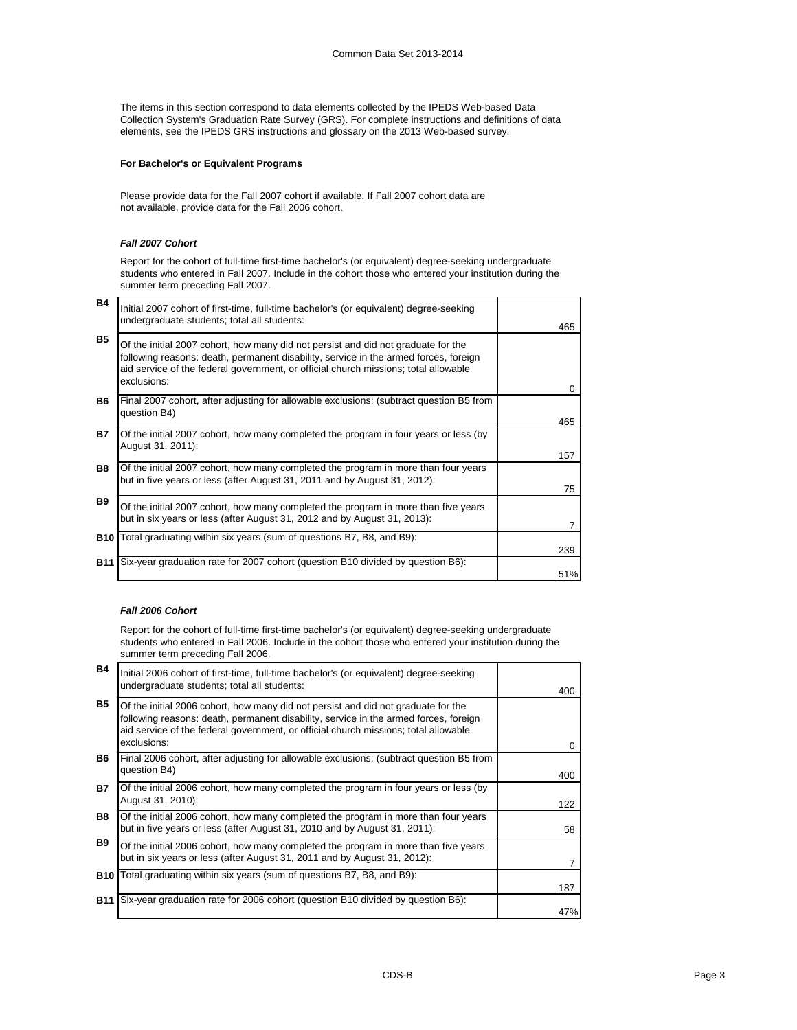The items in this section correspond to data elements collected by the IPEDS Web-based Data Collection System's Graduation Rate Survey (GRS). For complete instructions and definitions of data elements, see the IPEDS GRS instructions and glossary on the 2013 Web-based survey.

#### **For Bachelor's or Equivalent Programs**

Please provide data for the Fall 2007 cohort if available. If Fall 2007 cohort data are not available, provide data for the Fall 2006 cohort.

#### *Fall 2007 Cohort*

 $\mathbf{I}$ 

Report for the cohort of full-time first-time bachelor's (or equivalent) degree-seeking undergraduate students who entered in Fall 2007. Include in the cohort those who entered your institution during the summer term preceding Fall 2007.

| <b>B4</b>  | Initial 2007 cohort of first-time, full-time bachelor's (or equivalent) degree-seeking<br>undergraduate students; total all students:                                                                                                                                           | 465            |
|------------|---------------------------------------------------------------------------------------------------------------------------------------------------------------------------------------------------------------------------------------------------------------------------------|----------------|
| <b>B5</b>  | Of the initial 2007 cohort, how many did not persist and did not graduate for the<br>following reasons: death, permanent disability, service in the armed forces, foreign<br>aid service of the federal government, or official church missions; total allowable<br>exclusions: |                |
| <b>B6</b>  | Final 2007 cohort, after adjusting for allowable exclusions: (subtract question B5 from<br>question B4)                                                                                                                                                                         | $\Omega$       |
|            |                                                                                                                                                                                                                                                                                 | 465            |
| <b>B7</b>  | Of the initial 2007 cohort, how many completed the program in four years or less (by<br>August 31, 2011):                                                                                                                                                                       |                |
|            |                                                                                                                                                                                                                                                                                 | 157            |
| <b>B8</b>  | Of the initial 2007 cohort, how many completed the program in more than four years<br>but in five years or less (after August 31, 2011 and by August 31, 2012):                                                                                                                 | 75             |
| <b>B</b> 9 | Of the initial 2007 cohort, how many completed the program in more than five years<br>but in six years or less (after August 31, 2012 and by August 31, 2013):                                                                                                                  | $\overline{7}$ |
|            | <b>B10</b> Total graduating within six years (sum of questions B7, B8, and B9):                                                                                                                                                                                                 | 239            |
|            | <b>B11</b> Six-year graduation rate for 2007 cohort (question B10 divided by question B6):                                                                                                                                                                                      | 51%            |

#### *Fall 2006 Cohort*

Report for the cohort of full-time first-time bachelor's (or equivalent) degree-seeking undergraduate students who entered in Fall 2006. Include in the cohort those who entered your institution during the summer term preceding Fall 2006.

| <b>B4</b>  | Initial 2006 cohort of first-time, full-time bachelor's (or equivalent) degree-seeking<br>undergraduate students; total all students:                                                                                                                                           | 400          |
|------------|---------------------------------------------------------------------------------------------------------------------------------------------------------------------------------------------------------------------------------------------------------------------------------|--------------|
| <b>B5</b>  | Of the initial 2006 cohort, how many did not persist and did not graduate for the<br>following reasons: death, permanent disability, service in the armed forces, foreign<br>aid service of the federal government, or official church missions; total allowable<br>exclusions: | $\mathbf{0}$ |
| <b>B6</b>  | Final 2006 cohort, after adjusting for allowable exclusions: (subtract question B5 from<br>question B4)                                                                                                                                                                         | 400          |
| B7         | Of the initial 2006 cohort, how many completed the program in four years or less (by<br>August 31, 2010):                                                                                                                                                                       | 122          |
| <b>B8</b>  | Of the initial 2006 cohort, how many completed the program in more than four years<br>but in five years or less (after August 31, 2010 and by August 31, 2011):                                                                                                                 | 58           |
| <b>B</b> 9 | Of the initial 2006 cohort, how many completed the program in more than five years<br>but in six years or less (after August 31, 2011 and by August 31, 2012):                                                                                                                  | 7            |
| <b>B10</b> | Total graduating within six years (sum of questions B7, B8, and B9):                                                                                                                                                                                                            | 187          |
| <b>B11</b> | Six-year graduation rate for 2006 cohort (question B10 divided by question B6):                                                                                                                                                                                                 | 47%          |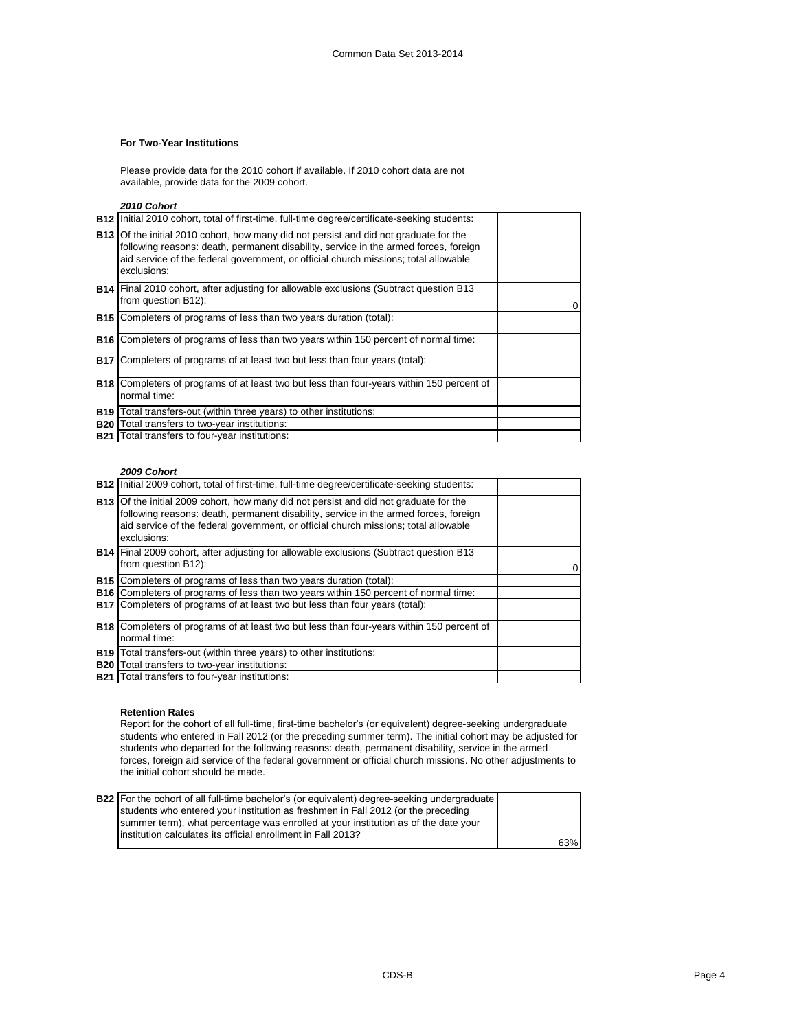#### **For Two-Year Institutions**

Please provide data for the 2010 cohort if available. If 2010 cohort data are not available, provide data for the 2009 cohort.

*2010 Cohort*

| <b>B12</b> Initial 2010 cohort, total of first-time, full-time degree/certificate-seeking students:                                                                                                                                                                                        |  |
|--------------------------------------------------------------------------------------------------------------------------------------------------------------------------------------------------------------------------------------------------------------------------------------------|--|
| <b>B13</b> Of the initial 2010 cohort, how many did not persist and did not graduate for the<br>following reasons: death, permanent disability, service in the armed forces, foreign<br>aid service of the federal government, or official church missions; total allowable<br>exclusions: |  |
| <b>B14</b> Final 2010 cohort, after adjusting for allowable exclusions (Subtract question B13<br>from question B12):                                                                                                                                                                       |  |
| <b>B15</b> Completers of programs of less than two years duration (total):                                                                                                                                                                                                                 |  |
| <b>B16</b> Completers of programs of less than two years within 150 percent of normal time:                                                                                                                                                                                                |  |
| <b>B17</b> Completers of programs of at least two but less than four years (total):                                                                                                                                                                                                        |  |
| <b>B18</b> Completers of programs of at least two but less than four-years within 150 percent of<br>normal time:                                                                                                                                                                           |  |
| <b>B19</b> Total transfers-out (within three years) to other institutions:                                                                                                                                                                                                                 |  |
| <b>B20</b> Total transfers to two-year institutions:                                                                                                                                                                                                                                       |  |
| <b>B21</b> Total transfers to four-year institutions:                                                                                                                                                                                                                                      |  |

#### *2009 Cohort*

|            | <b>B12</b> Initial 2009 cohort, total of first-time, full-time degree/certificate-seeking students:                                                                                                                                                                                        |  |
|------------|--------------------------------------------------------------------------------------------------------------------------------------------------------------------------------------------------------------------------------------------------------------------------------------------|--|
|            | <b>B13</b> Of the initial 2009 cohort, how many did not persist and did not graduate for the<br>following reasons: death, permanent disability, service in the armed forces, foreign<br>aid service of the federal government, or official church missions; total allowable<br>exclusions: |  |
|            | <b>B14</b> Final 2009 cohort, after adjusting for allowable exclusions (Subtract question B13<br>from question B12):                                                                                                                                                                       |  |
|            | <b>B15</b> Completers of programs of less than two years duration (total):                                                                                                                                                                                                                 |  |
|            | <b>B16</b> Completers of programs of less than two years within 150 percent of normal time:                                                                                                                                                                                                |  |
|            | <b>B17</b> Completers of programs of at least two but less than four years (total):                                                                                                                                                                                                        |  |
|            | <b>B18</b> Completers of programs of at least two but less than four-years within 150 percent of<br>normal time:                                                                                                                                                                           |  |
| <b>B19</b> | Total transfers-out (within three years) to other institutions:                                                                                                                                                                                                                            |  |
|            | <b>B20</b> Total transfers to two-year institutions:                                                                                                                                                                                                                                       |  |
|            | <b>B21</b> Total transfers to four-year institutions:                                                                                                                                                                                                                                      |  |

#### **Retention Rates**

Report for the cohort of all full-time, first-time bachelor's (or equivalent) degree-seeking undergraduate students who entered in Fall 2012 (or the preceding summer term). The initial cohort may be adjusted for students who departed for the following reasons: death, permanent disability, service in the armed forces, foreign aid service of the federal government or official church missions. No other adjustments to the initial cohort should be made.

| <b>B22</b> For the cohort of all full-time bachelor's (or equivalent) degree-seeking undergraduate |     |
|----------------------------------------------------------------------------------------------------|-----|
| students who entered your institution as freshmen in Fall 2012 (or the preceding                   |     |
| summer term), what percentage was enrolled at your institution as of the date your                 |     |
| linstitution calculates its official enrollment in Fall 2013?                                      |     |
|                                                                                                    | 63% |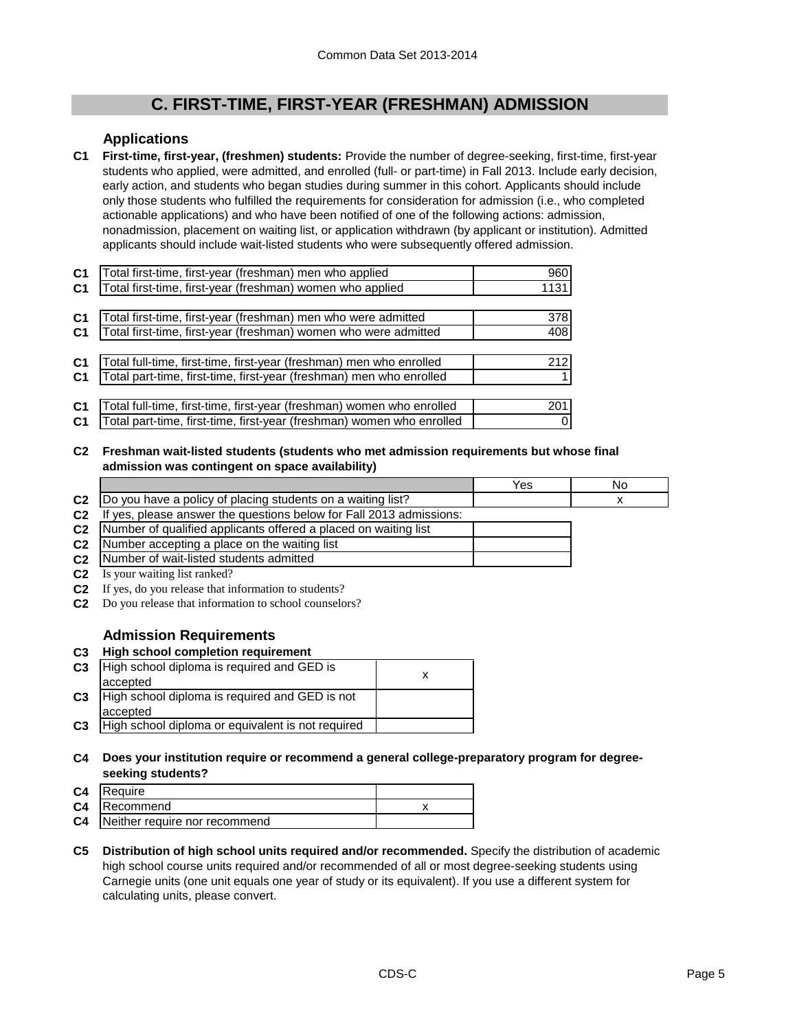# **C. FIRST-TIME, FIRST-YEAR (FRESHMAN) ADMISSION**

## **Applications**

**C1 First-time, first-year, (freshmen) students:** Provide the number of degree-seeking, first-time, first-year students who applied, were admitted, and enrolled (full- or part-time) in Fall 2013. Include early decision, early action, and students who began studies during summer in this cohort. Applicants should include only those students who fulfilled the requirements for consideration for admission (i.e., who completed actionable applications) and who have been notified of one of the following actions: admission, nonadmission, placement on waiting list, or application withdrawn (by applicant or institution). Admitted applicants should include wait-listed students who were subsequently offered admission.

| C <sub>1</sub> | Total first-time, first-year (freshman) men who applied               | 960  |
|----------------|-----------------------------------------------------------------------|------|
| C <sub>1</sub> | Total first-time, first-year (freshman) women who applied             | 1131 |
|                |                                                                       |      |
| C <sub>1</sub> | Total first-time, first-year (freshman) men who were admitted         | 378  |
| C <sub>1</sub> | Total first-time, first-year (freshman) women who were admitted       | 408  |
|                |                                                                       |      |
| C <sub>1</sub> | Total full-time, first-time, first-year (freshman) men who enrolled   | 212  |
| C <sub>1</sub> | Total part-time, first-time, first-year (freshman) men who enrolled   |      |
|                |                                                                       |      |
| C <sub>1</sub> | Total full-time, first-time, first-year (freshman) women who enrolled | 201  |
| C <sub>1</sub> | Total part-time, first-time, first-year (freshman) women who enrolled |      |

**C2 Freshman wait-listed students (students who met admission requirements but whose final admission was contingent on space availability)**

|                |                                                                     | Yes | No |
|----------------|---------------------------------------------------------------------|-----|----|
| C <sub>2</sub> | Do you have a policy of placing students on a waiting list?         |     |    |
| C <sub>2</sub> | If yes, please answer the questions below for Fall 2013 admissions: |     |    |
| C <sub>2</sub> | Number of qualified applicants offered a placed on waiting list     |     |    |
| C <sub>2</sub> | Number accepting a place on the waiting list                        |     |    |
| C <sub>2</sub> | Number of wait-listed students admitted                             |     |    |
| C <sub>2</sub> | Is your waiting list ranked?                                        |     |    |

- **C2** If yes, do you release that information to students?
- **C2** Do you release that information to school counselors?

## **Admission Requirements**

#### **C3 High school completion requirement**

| C <sub>3</sub> | High school diploma is required and GED is        |  |
|----------------|---------------------------------------------------|--|
|                | accepted                                          |  |
| C <sub>3</sub> | High school diploma is required and GED is not    |  |
|                | accepted                                          |  |
| C <sub>3</sub> | High school diploma or equivalent is not required |  |

### **C4 Does your institution require or recommend a general college-preparatory program for degreeseeking students?**

| C <sub>4</sub> | <b>IRequire</b>               |  |
|----------------|-------------------------------|--|
|                | <b>C4</b> Recommend           |  |
| C <sub>4</sub> | Neither require nor recommend |  |

**C5 Distribution of high school units required and/or recommended.** Specify the distribution of academic high school course units required and/or recommended of all or most degree-seeking students using Carnegie units (one unit equals one year of study or its equivalent). If you use a different system for calculating units, please convert.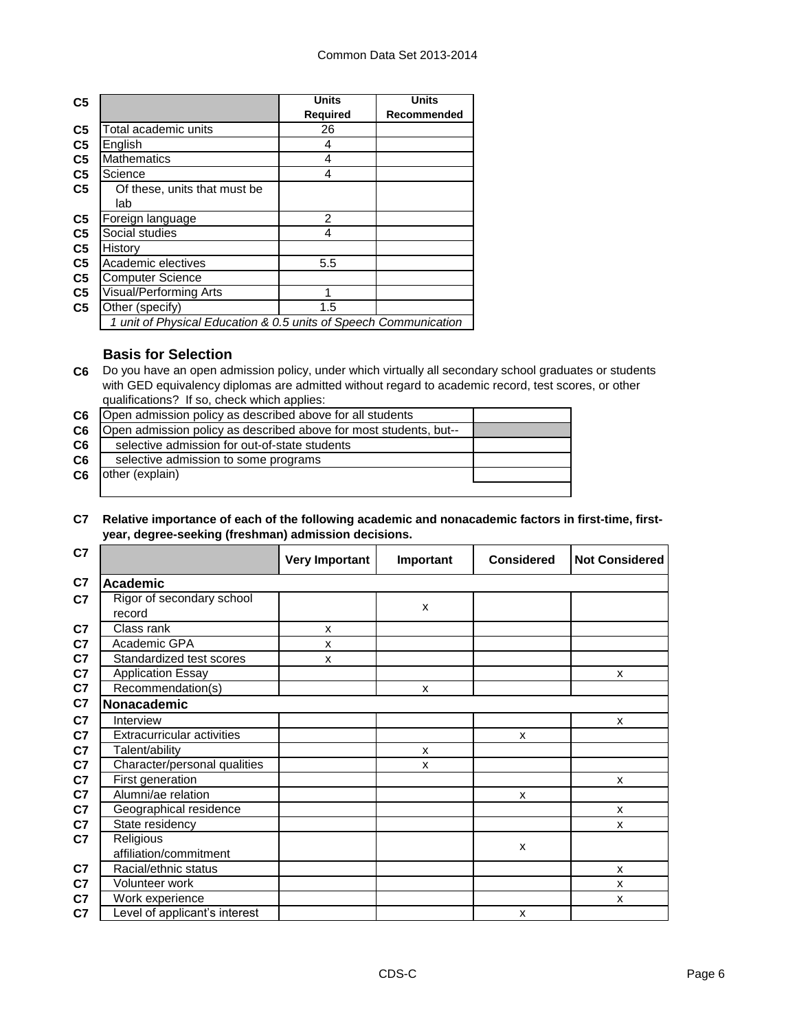| C <sub>5</sub> |                                                                  | <b>Units</b>    | <b>Units</b> |
|----------------|------------------------------------------------------------------|-----------------|--------------|
|                |                                                                  | <b>Required</b> | Recommended  |
| C <sub>5</sub> | Total academic units                                             | 26              |              |
| C <sub>5</sub> | English                                                          | 4               |              |
| C <sub>5</sub> | <b>Mathematics</b>                                               | 4               |              |
| C <sub>5</sub> | Science                                                          | 4               |              |
| C <sub>5</sub> | Of these, units that must be                                     |                 |              |
|                | lab                                                              |                 |              |
| C <sub>5</sub> | Foreign language                                                 | $\mathcal{P}$   |              |
| C <sub>5</sub> | Social studies                                                   | 4               |              |
| C <sub>5</sub> | History                                                          |                 |              |
| C <sub>5</sub> | Academic electives                                               | 5.5             |              |
| C <sub>5</sub> | <b>Computer Science</b>                                          |                 |              |
| C <sub>5</sub> | Visual/Performing Arts                                           | 1               |              |
| C <sub>5</sub> | Other (specify)                                                  | 1.5             |              |
|                | 1 unit of Physical Education & 0.5 units of Speech Communication |                 |              |

## **Basis for Selection**

**C6** Do you have an open admission policy, under which virtually all secondary school graduates or students with GED equivalency diplomas are admitted without regard to academic record, test scores, or other qualifications? If so, check which applies:

| C6             | Open admission policy as described above for all students         |  |
|----------------|-------------------------------------------------------------------|--|
| C <sub>6</sub> | Open admission policy as described above for most students, but-- |  |
| C6             | selective admission for out-of-state students                     |  |
| C <sub>6</sub> | selective admission to some programs                              |  |
| C6             | other (explain)                                                   |  |
|                |                                                                   |  |

### **C7 Relative importance of each of the following academic and nonacademic factors in first-time, firstyear, degree-seeking (freshman) admission decisions.**

| C7             |                                     | <b>Very Important</b> | Important | <b>Considered</b> | <b>Not Considered</b> |
|----------------|-------------------------------------|-----------------------|-----------|-------------------|-----------------------|
| C <sub>7</sub> | Academic                            |                       |           |                   |                       |
| C <sub>7</sub> | Rigor of secondary school<br>record |                       | X         |                   |                       |
| C7             | Class rank                          | X                     |           |                   |                       |
| C7             | Academic GPA                        | x                     |           |                   |                       |
| C7             | Standardized test scores            | x                     |           |                   |                       |
| C7             | <b>Application Essay</b>            |                       |           |                   | X                     |
| C7             | Recommendation(s)                   |                       | X         |                   |                       |
| C7             | Nonacademic                         |                       |           |                   |                       |
| C <sub>7</sub> | Interview                           |                       |           |                   | X                     |
| C <sub>7</sub> | <b>Extracurricular activities</b>   |                       |           | X                 |                       |
| C7             | Talent/ability                      |                       | X         |                   |                       |
| C7             | Character/personal qualities        |                       | X         |                   |                       |
| C7             | First generation                    |                       |           |                   | X                     |
| C7             | Alumni/ae relation                  |                       |           | X                 |                       |
| C7             | Geographical residence              |                       |           |                   | $\mathsf{x}$          |
| C7             | State residency                     |                       |           |                   | X                     |
| C7             | Religious<br>affiliation/commitment |                       |           | X                 |                       |
| C <sub>7</sub> | Racial/ethnic status                |                       |           |                   | X                     |
| C7             | Volunteer work                      |                       |           |                   | X                     |
| C7             | Work experience                     |                       |           |                   | X                     |
| C7             | evel of applicant's interest        |                       |           | X                 |                       |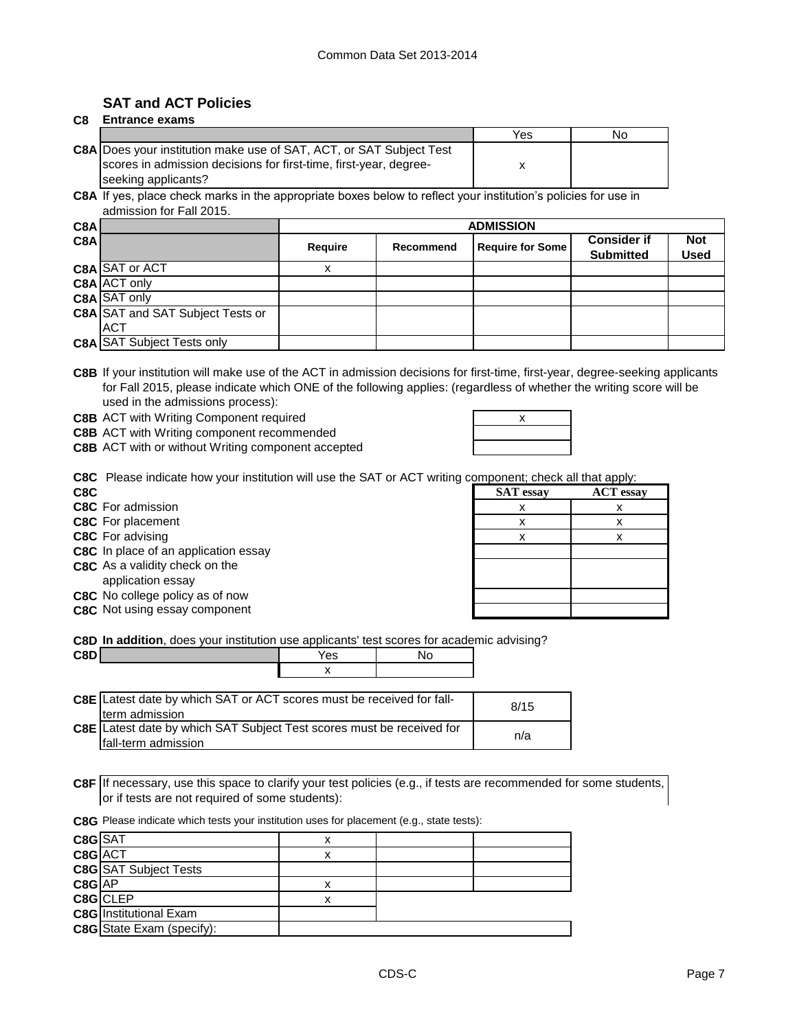## **SAT and ACT Policies**

| C8 | <b>Entrance exams</b> |  |
|----|-----------------------|--|
|----|-----------------------|--|

|                                                                            | Yes | No |
|----------------------------------------------------------------------------|-----|----|
| <b>C8A</b> Does your institution make use of SAT, ACT, or SAT Subject Test |     |    |
| scores in admission decisions for first-time, first-year, degree-          |     |    |
| seeking applicants?                                                        |     |    |

**C8A** If yes, place check marks in the appropriate boxes below to reflect your institution's policies for use in admission for Fall 2015.

| C8A |                                         | <b>ADMISSION</b> |           |                         |                    |             |
|-----|-----------------------------------------|------------------|-----------|-------------------------|--------------------|-------------|
| C8A |                                         | Require          | Recommend | <b>Require for Some</b> | <b>Consider if</b> | <b>Not</b>  |
|     |                                         |                  |           |                         | <b>Submitted</b>   | <b>Used</b> |
|     | C8A SAT or ACT                          |                  |           |                         |                    |             |
|     | <b>C8A ACT only</b>                     |                  |           |                         |                    |             |
|     | <b>C8A</b> SAT only                     |                  |           |                         |                    |             |
|     | <b>C8A</b> SAT and SAT Subject Tests or |                  |           |                         |                    |             |
|     | <b>ACT</b>                              |                  |           |                         |                    |             |
|     | <b>C8A SAT Subject Tests only</b>       |                  |           |                         |                    |             |

**C8B** If your institution will make use of the ACT in admission decisions for first-time, first-year, degree-seeking applicants for Fall 2015, please indicate which ONE of the following applies: (regardless of whether the writing score will be used in the admissions process):

**C8B** ACT with Writing Component required **ACT 100 AM RES** 2008

**C8B** ACT with Writing component recommended

**C8B** ACT with or without Writing component accepted

| х |  |
|---|--|
|   |  |
|   |  |
|   |  |

**C8C** Please indicate how your institution will use the SAT or ACT writing component; check all that apply:

- **C8C** For advising
- **C8C** In place of an application essay
- **C8C** As a validity check on the application essay

|  | C8C No college policy as of now |  |  |
|--|---------------------------------|--|--|
|  |                                 |  |  |

**C8C** Not using essay component

| C8C                                  | <b>SAT</b> essay | <b>ACT</b> essay |
|--------------------------------------|------------------|------------------|
| C8C For admission                    |                  |                  |
| C8C For placement                    |                  |                  |
| C8C For advising                     |                  |                  |
| C8C In place of an application essay |                  |                  |
| C8C As a validity check on the       |                  |                  |
| application essay                    |                  |                  |
| C8C No college policy as of now      |                  |                  |
| C8C Not using essay component        |                  |                  |

**C8D In addition**, does your institution use applicants' test scores for academic advising?

| C8D | 'es      | N. |
|-----|----------|----|
|     | $\cdots$ |    |

| <b>C8E</b> Latest date by which SAT or ACT scores must be received for fall-                           | 8/15 |
|--------------------------------------------------------------------------------------------------------|------|
| <b>Iterm</b> admission<br><b>C8E</b> Latest date by which SAT Subject Test scores must be received for | n/a  |
| Ifall-term admission                                                                                   |      |

**C8F** If necessary, use this space to clarify your test policies (e.g., if tests are recommended for some students, or if tests are not required of some students):

**C8G** Please indicate which tests your institution uses for placement (e.g., state tests):

| C8G SAT |                                  | x |  |
|---------|----------------------------------|---|--|
| C8G ACT |                                  | х |  |
|         | <b>C8G</b> SAT Subject Tests     |   |  |
| C8G AP  |                                  | х |  |
|         | C8G CLEP                         | x |  |
|         | <b>C8G</b> Institutional Exam    |   |  |
|         | <b>C8G</b> State Exam (specify): |   |  |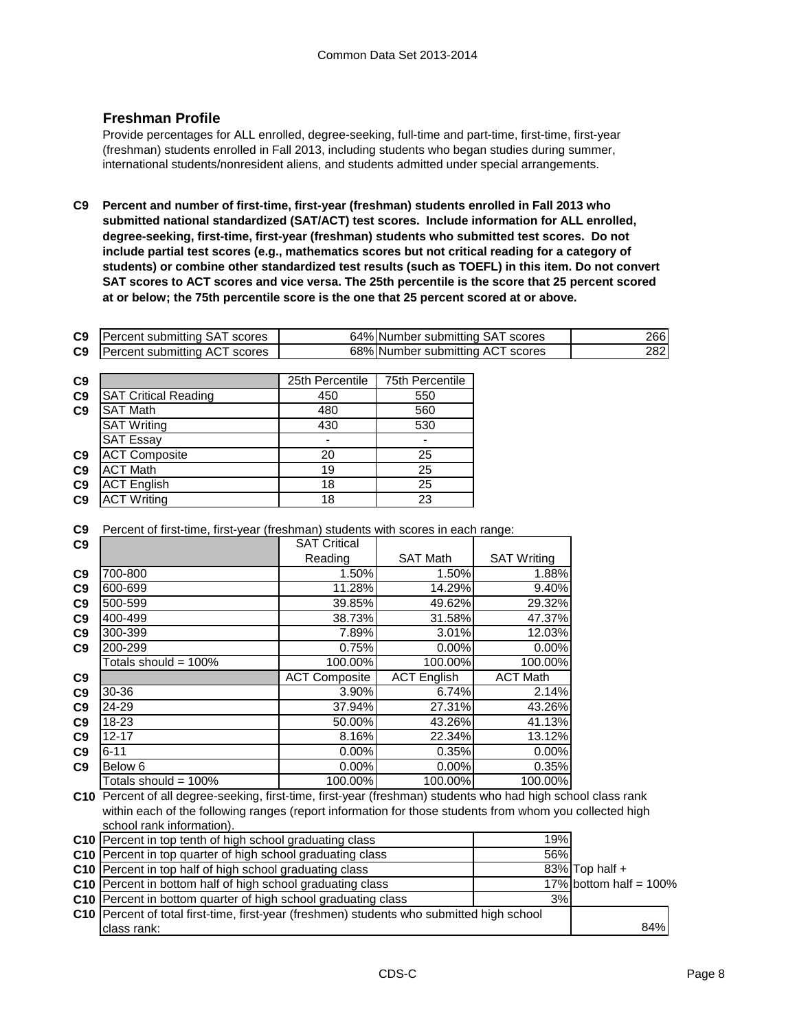## **Freshman Profile**

Provide percentages for ALL enrolled, degree-seeking, full-time and part-time, first-time, first-year (freshman) students enrolled in Fall 2013, including students who began studies during summer, international students/nonresident aliens, and students admitted under special arrangements.

**C9 Percent and number of first-time, first-year (freshman) students enrolled in Fall 2013 who submitted national standardized (SAT/ACT) test scores. Include information for ALL enrolled, degree-seeking, first-time, first-year (freshman) students who submitted test scores. Do not include partial test scores (e.g., mathematics scores but not critical reading for a category of students) or combine other standardized test results (such as TOEFL) in this item. Do not convert SAT scores to ACT scores and vice versa. The 25th percentile is the score that 25 percent scored at or below; the 75th percentile score is the one that 25 percent scored at or above.**

| C9 | <b>Percent submitting SAT scores</b> | 64% Number submitting SAT scores | 2661 |
|----|--------------------------------------|----------------------------------|------|
| C9 | <b>Percent submitting ACT scores</b> | 68% Number submitting ACT scores | 2821 |

| C <sub>9</sub> |                             | 25th Percentile | 75th Percentile |
|----------------|-----------------------------|-----------------|-----------------|
| C <sub>9</sub> | <b>SAT Critical Reading</b> | 450             | 550             |
| C9             | <b>SAT Math</b>             | 480             | 560             |
|                | <b>SAT Writing</b>          | 430             | 530             |
|                | <b>SAT Essay</b>            |                 |                 |
| C <sub>9</sub> | <b>ACT Composite</b>        | 20              | 25              |
| C <sub>9</sub> | <b>ACT Math</b>             | 19              | 25              |
| C <sub>9</sub> | <b>ACT English</b>          | 18              | 25              |
| C <sub>9</sub> | <b>ACT Writing</b>          | 18              | 23              |

**C9** Percent of first-time, first-year (freshman) students with scores in each range:

| C9             |                         | <b>SAT Critical</b>  |                    |                    |
|----------------|-------------------------|----------------------|--------------------|--------------------|
|                |                         | Reading              | <b>SAT Math</b>    | <b>SAT Writing</b> |
| C <sub>9</sub> | 700-800                 | 1.50%                | 1.50%              | 1.88%              |
| C9             | 600-699                 | 11.28%               | 14.29%             | 9.40%              |
| C9             | 500-599                 | 39.85%               | 49.62%             | 29.32%             |
| C <sub>9</sub> | 400-499                 | 38.73%               | 31.58%             | 47.37%             |
| C <sub>9</sub> | 300-399                 | 7.89%                | 3.01%              | 12.03%             |
| C <sub>9</sub> | 200-299                 | 0.75%                | $0.00\%$           | $0.00\%$           |
|                | Totals should = 100%    | 100.00%              | 100.00%            | 100.00%            |
| C9             |                         | <b>ACT Composite</b> | <b>ACT</b> English | <b>ACT Math</b>    |
| C <sub>9</sub> | 30-36                   | 3.90%                | 6.74%              | 2.14%              |
| C <sub>9</sub> | 24-29                   | 37.94%               | 27.31%             | 43.26%             |
| C9             | 18-23                   | 50.00%               | 43.26%             | 41.13%             |
| C <sub>9</sub> | 12-17                   | 8.16%                | 22.34%             | 13.12%             |
| C <sub>9</sub> | $6 - 11$                | $0.00\%$             | 0.35%              | $0.00\%$           |
| C9             | Below 6                 | $0.00\%$             | $0.00\%$           | 0.35%              |
|                | Totals should = $100\%$ | 100.00%              | 100.00%            | 100.00%            |

**C10** Percent of all degree-seeking, first-time, first-year (freshman) students who had high school class rank within each of the following ranges (report information for those students from whom you collected high school rank information).

| <b>C10</b> Percent in top tenth of high school graduating class                           | 19% |                           |
|-------------------------------------------------------------------------------------------|-----|---------------------------|
| C10 Percent in top quarter of high school graduating class                                | 56% |                           |
| C10 Percent in top half of high school graduating class                                   |     | $83\%$ Top half +         |
| C10 Percent in bottom half of high school graduating class                                |     | 17% bottom half = $100\%$ |
| C10 Percent in bottom quarter of high school graduating class                             | 3%  |                           |
| C10 Percent of total first-time, first-year (freshmen) students who submitted high school |     |                           |
| class rank:                                                                               |     | 84%                       |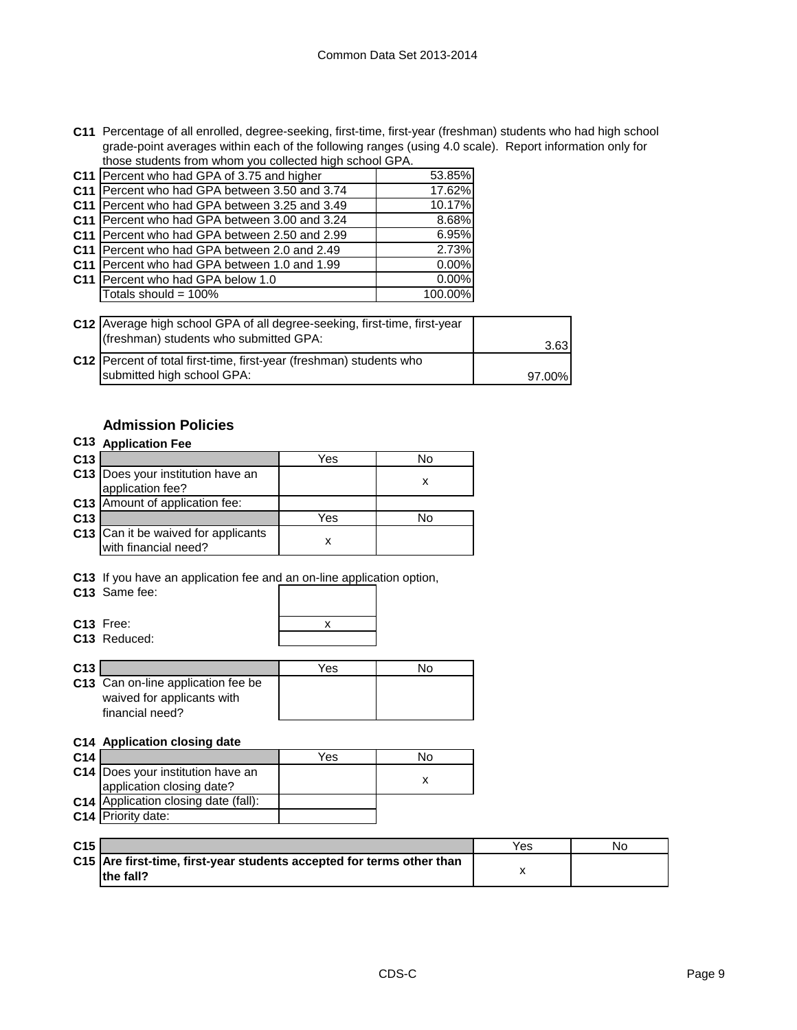**C11** Percentage of all enrolled, degree-seeking, first-time, first-year (freshman) students who had high school grade-point averages within each of the following ranges (using 4.0 scale). Report information only for those students from whom you collected high school GPA.

| C11 Percent who had GPA of 3.75 and higher    | 53.85%  |
|-----------------------------------------------|---------|
| C11 Percent who had GPA between 3.50 and 3.74 | 17.62%  |
| C11 Percent who had GPA between 3.25 and 3.49 | 10.17%  |
| C11 Percent who had GPA between 3.00 and 3.24 | 8.68%   |
| C11 Percent who had GPA between 2.50 and 2.99 | 6.95%   |
| C11 Percent who had GPA between 2.0 and 2.49  | 2.73%   |
| C11 Percent who had GPA between 1.0 and 1.99  | 0.00%   |
| C11 Percent who had GPA below 1.0             | 0.00%   |
| Totals should = 100%                          | 100.00% |
|                                               |         |

| C12 Average high school GPA of all degree-seeking, first-time, first-year<br>(freshman) students who submitted GPA: | 3.631  |
|---------------------------------------------------------------------------------------------------------------------|--------|
| C12   Percent of total first-time, first-year (freshman) students who<br>submitted high school GPA:                 | 97.00% |

## **Admission Policies**

## **C13 Application Fee**

| C <sub>13</sub> |                                                             | Yes | N٥ |
|-----------------|-------------------------------------------------------------|-----|----|
|                 | C13 Does your institution have an<br>application fee?       |     |    |
|                 | C13 Amount of application fee:                              |     |    |
| C <sub>13</sub> |                                                             | Yes | N٥ |
|                 | C13 Can it be waived for applicants<br>with financial need? |     |    |

**C13** If you have an application fee and an on-line application option,

**C13** Same fee:

| x |
|---|
|   |

| C <sub>13</sub> Free:    |
|--------------------------|
| C <sub>13</sub> Reduced: |

| C <sub>13</sub> |                                                                                     | Yes | NΩ |
|-----------------|-------------------------------------------------------------------------------------|-----|----|
|                 | C13 Can on-line application fee be<br>waived for applicants with<br>financial need? |     |    |

#### **C14 Application closing date**

| C <sub>14</sub> |                                             | Yes | N٥ |
|-----------------|---------------------------------------------|-----|----|
|                 | C14 Does your institution have an           |     |    |
|                 | application closing date?                   |     |    |
|                 | <b>C14</b> Application closing date (fall): |     |    |
|                 | C14 Priority date:                          |     |    |

| C <sub>15</sub> |                                                                                     | Yes | Nο |
|-----------------|-------------------------------------------------------------------------------------|-----|----|
|                 | C15 Are first-time, first-year students accepted for terms other than<br>lthe fall? |     |    |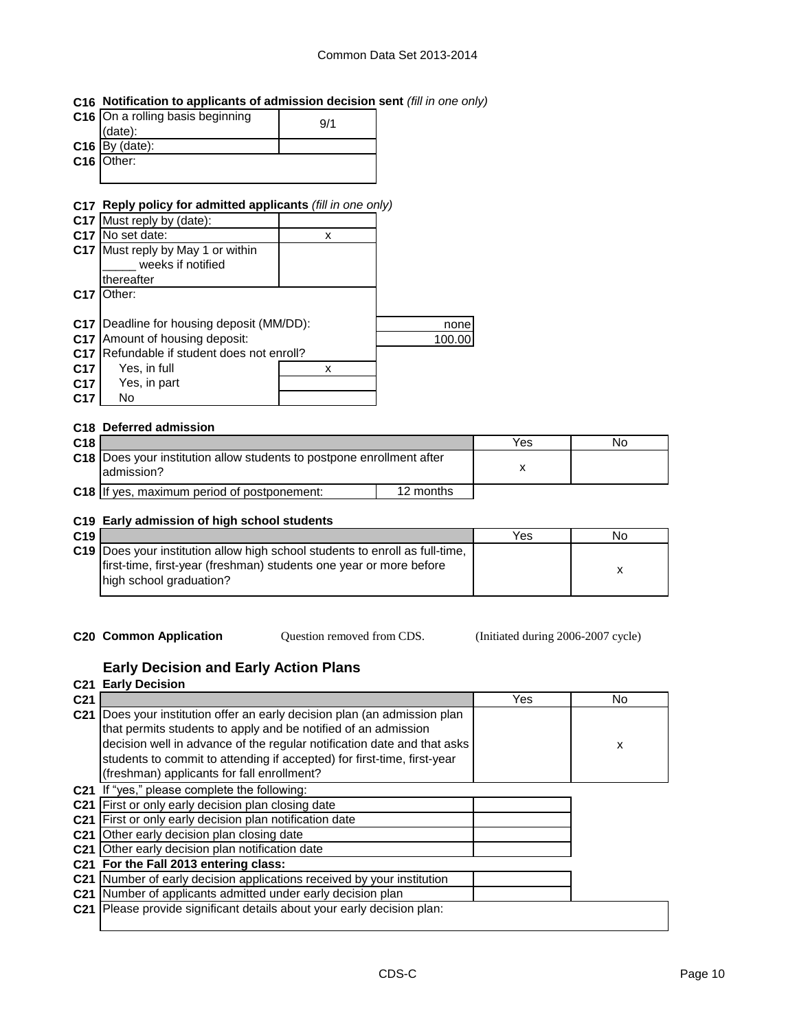## **C16 Notification to applicants of admission decision sent** *(fill in one only)*

| C16 On a rolling basis beginning<br>(data): | 9/1 |
|---------------------------------------------|-----|
| $C16$ By (date):                            |     |
| C16 Other:                                  |     |
|                                             |     |

## **C17 Reply policy for admitted applicants** *(fill in one only)*

| C17 Must reply by (date):     |   |                                                                                 |
|-------------------------------|---|---------------------------------------------------------------------------------|
| No set date:                  | х |                                                                                 |
| Must reply by May 1 or within |   |                                                                                 |
| weeks if notified             |   |                                                                                 |
| thereafter                    |   |                                                                                 |
| :Dther                        |   |                                                                                 |
|                               |   |                                                                                 |
|                               |   | none                                                                            |
| Amount of housing deposit:    |   | 100.00                                                                          |
|                               |   |                                                                                 |
| Yes, in full                  | х |                                                                                 |
| Yes, in part                  |   |                                                                                 |
| No                            |   |                                                                                 |
|                               |   | Deadline for housing deposit (MM/DD):<br>Refundable if student does not enroll? |

#### **C18 Deferred admission**

| C <sub>18</sub> |                                                                                             |           | Yes | No |
|-----------------|---------------------------------------------------------------------------------------------|-----------|-----|----|
|                 | <b>C18</b> Does your institution allow students to postpone enrollment after<br>ladmission? |           |     |    |
|                 | C18 If yes, maximum period of postponement:                                                 | 12 months |     |    |

#### **C19 Early admission of high school students**

| C19 |                                                                                      | Yes | No. |
|-----|--------------------------------------------------------------------------------------|-----|-----|
|     | <b>C19</b> IDoes your institution allow high school students to enroll as full-time. |     |     |
|     | Ifirst-time, first-year (freshman) students one year or more before                  |     |     |
|     | high school graduation?                                                              |     |     |
|     |                                                                                      |     |     |

**C20 Common Application Question removed from CDS.** (Initiated during 2006-2007 cycle) Question removed from CDS.

## **Early Decision and Early Action Plans**

# **C21 Early Decision**

| C <sub>21</sub> |                                                                         | Yes | No. |
|-----------------|-------------------------------------------------------------------------|-----|-----|
| C <sub>21</sub> | Does your institution offer an early decision plan (an admission plan   |     |     |
|                 | that permits students to apply and be notified of an admission          |     |     |
|                 | decision well in advance of the regular notification date and that asks |     | X   |
|                 | students to commit to attending if accepted) for first-time, first-year |     |     |
|                 | (freshman) applicants for fall enrollment?                              |     |     |
| C <sub>21</sub> | If "yes," please complete the following:                                |     |     |
| C <sub>21</sub> | First or only early decision plan closing date                          |     |     |
|                 | C21 First or only early decision plan notification date                 |     |     |
| C <sub>21</sub> | Other early decision plan closing date                                  |     |     |
|                 | C21 Other early decision plan notification date                         |     |     |
|                 | C21 For the Fall 2013 entering class:                                   |     |     |
| C <sub>21</sub> | Number of early decision applications received by your institution      |     |     |
| C <sub>21</sub> | Number of applicants admitted under early decision plan                 |     |     |
| C <sub>21</sub> | Please provide significant details about your early decision plan:      |     |     |
|                 |                                                                         |     |     |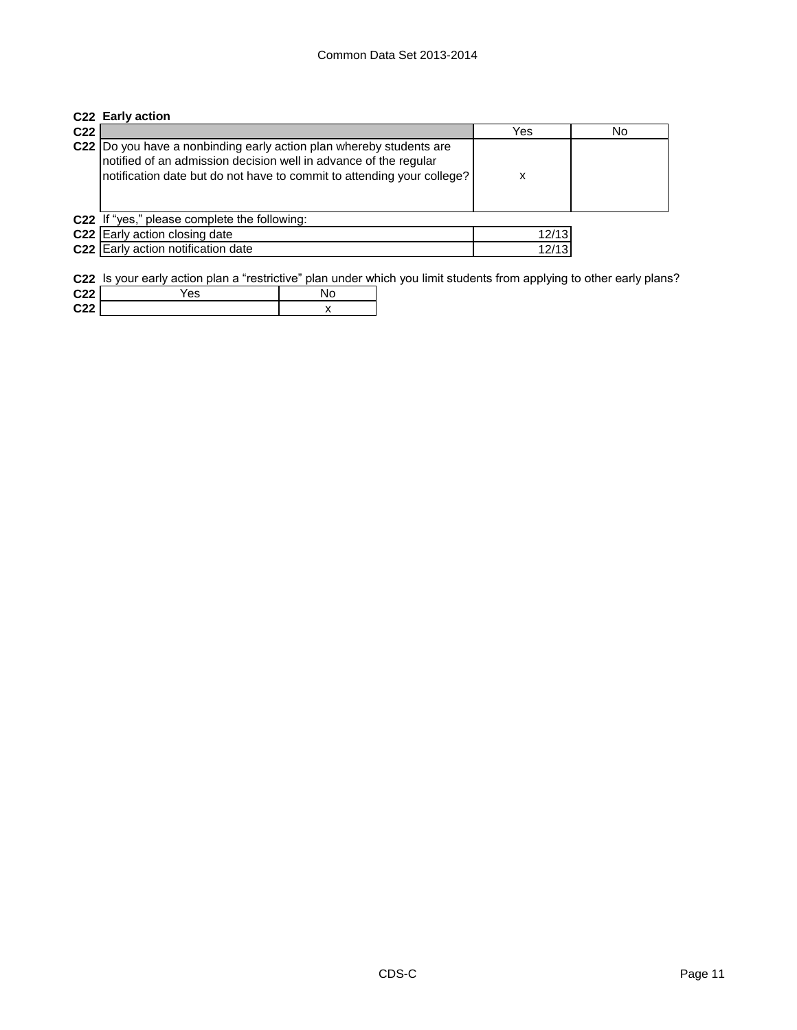|                 | C22 Early action                                                                                                                                                                                                  |       |    |
|-----------------|-------------------------------------------------------------------------------------------------------------------------------------------------------------------------------------------------------------------|-------|----|
| C <sub>22</sub> |                                                                                                                                                                                                                   | Yes   | No |
|                 | C22 Do you have a nonbinding early action plan whereby students are<br>notified of an admission decision well in advance of the regular<br>notification date but do not have to commit to attending your college? | x     |    |
|                 | C22 If "yes," please complete the following:                                                                                                                                                                      |       |    |
|                 | C22 Early action closing date                                                                                                                                                                                     | 12/13 |    |
|                 | C22 Early action notification date                                                                                                                                                                                | 12/13 |    |
|                 |                                                                                                                                                                                                                   |       |    |

**C22** Is your early action plan a "restrictive" plan under which you limit students from applying to other early plans?

| 0.22                       | es |  |
|----------------------------|----|--|
| <b>C<sub>22</sub></b><br>. |    |  |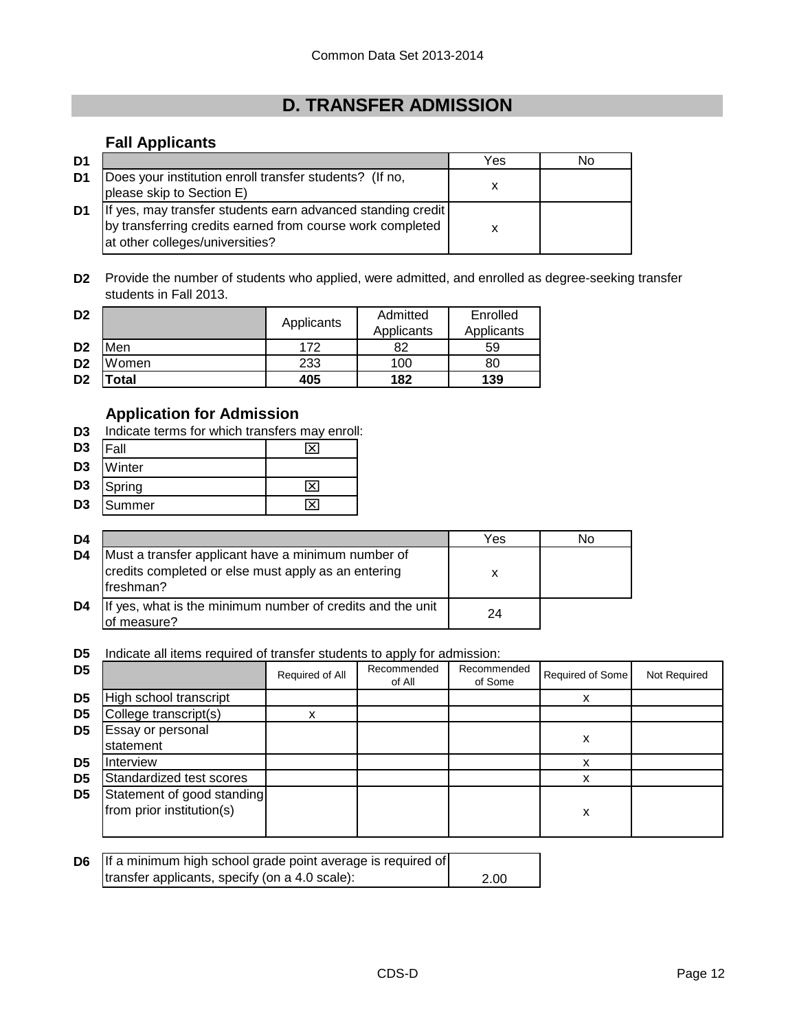# **D. TRANSFER ADMISSION**

## **Fall Applicants**

| D <sub>1</sub> |                                                                                                                                                             | Yes | No |
|----------------|-------------------------------------------------------------------------------------------------------------------------------------------------------------|-----|----|
| D1             | Does your institution enroll transfer students? (If no,<br>please skip to Section E)                                                                        |     |    |
| D1             | If yes, may transfer students earn advanced standing credit<br>by transferring credits earned from course work completed<br>at other colleges/universities? |     |    |

**D2** Provide the number of students who applied, were admitted, and enrolled as degree-seeking transfer students in Fall 2013.

| D <sub>2</sub> |       | Applicants | Admitted<br>Applicants | Enrolled<br>Applicants |
|----------------|-------|------------|------------------------|------------------------|
| D <sub>2</sub> | Men   | 172        | 82                     | 59                     |
| D <sub>2</sub> | Women | 233        | 100                    | 80                     |
| D <sub>2</sub> | 'otal | 405        | 182                    | 139                    |

## **Application for Admission**

**D3** Indicate terms for which transfers may enroll:

| D <sub>3</sub> | Fall   | × |
|----------------|--------|---|
| D <sub>3</sub> | Winter |   |
| D <sub>3</sub> | Spring | × |
| D <sub>3</sub> | Summer |   |

| D4 |                                                                                                                         | Yes | N٥ |
|----|-------------------------------------------------------------------------------------------------------------------------|-----|----|
| D4 | Must a transfer applicant have a minimum number of<br>credits completed or else must apply as an entering<br>lfreshman? | x   |    |
| D4 | If yes, what is the minimum number of credits and the unit<br>of measure?                                               | 24  |    |

**D5** Indicate all items required of transfer students to apply for admission:

| D <sub>5</sub> |                                                         | Required of All | Recommended<br>of All | Recommended<br>of Some | Required of Some | Not Required |
|----------------|---------------------------------------------------------|-----------------|-----------------------|------------------------|------------------|--------------|
| D <sub>5</sub> | High school transcript                                  |                 |                       |                        |                  |              |
| D <sub>5</sub> | College transcript(s)                                   |                 |                       |                        |                  |              |
| D <sub>5</sub> | Essay or personal<br>statement                          |                 |                       |                        | х                |              |
| D5             | Interview                                               |                 |                       |                        |                  |              |
| D <sub>5</sub> | Standardized test scores                                |                 |                       |                        |                  |              |
| D <sub>5</sub> | Statement of good standing<br>from prior institution(s) |                 |                       |                        | х                |              |

| <b>D6</b> If a minimum high school grade point average is required of |      |
|-----------------------------------------------------------------------|------|
| transfer applicants, specify (on a 4.0 scale):                        | 2.00 |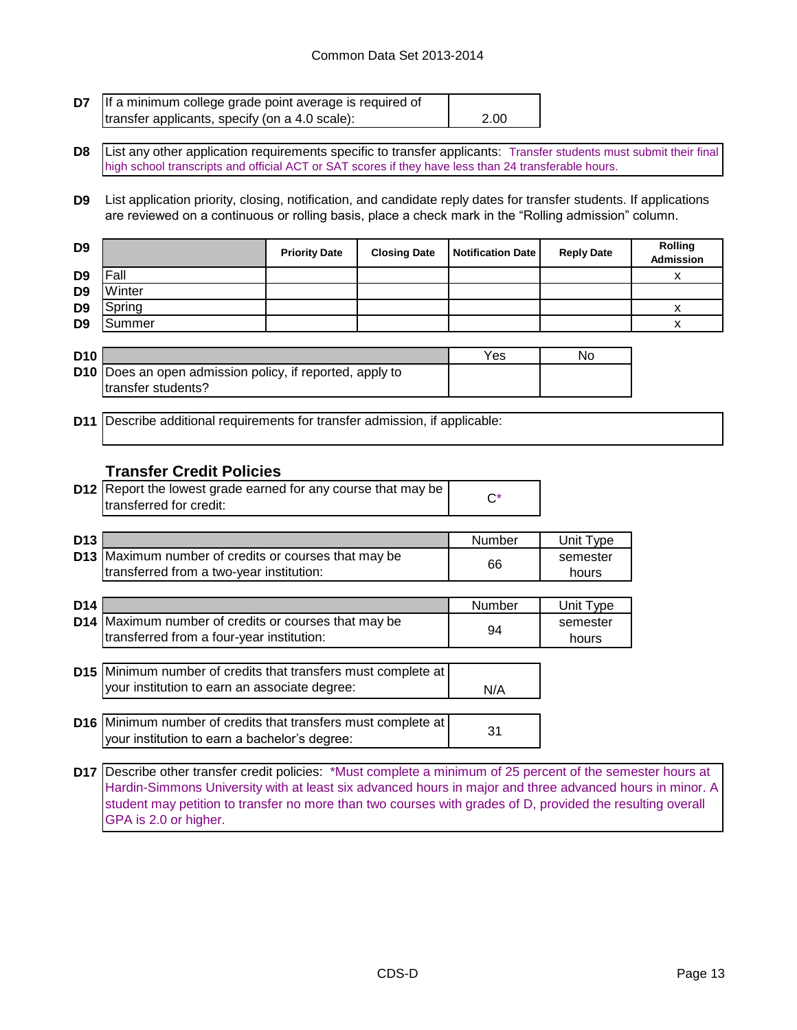## Common Data Set 2013-2014

| <b>D7</b> If a minimum college grade point average is required of |      |
|-------------------------------------------------------------------|------|
| transfer applicants, specify (on a 4.0 scale):                    | 2.00 |

**D8** List any other application requirements specific to transfer applicants: Transfer students must submit their final high school transcripts and official ACT or SAT scores if they have less than 24 transferable hours.

**D9** List application priority, closing, notification, and candidate reply dates for transfer students. If applications are reviewed on a continuous or rolling basis, place a check mark in the "Rolling admission" column.

| D <sub>9</sub> |        | <b>Priority Date</b> | <b>Closing Date</b> | <b>Notification Date</b> | <b>Reply Date</b> | Rolling<br>Admission |
|----------------|--------|----------------------|---------------------|--------------------------|-------------------|----------------------|
| D <sub>9</sub> | Fall   |                      |                     |                          |                   |                      |
| D <sub>9</sub> | Winter |                      |                     |                          |                   |                      |
| D <sub>9</sub> | Spring |                      |                     |                          |                   |                      |
| D <sub>9</sub> | Summer |                      |                     |                          |                   |                      |

| <b>D10</b> |                                                                 | Yes | No |
|------------|-----------------------------------------------------------------|-----|----|
|            | <b>D10</b> Does an open admission policy, if reported, apply to |     |    |
|            | transfer students?                                              |     |    |

**D11** Describe additional requirements for transfer admission, if applicable:

## **Transfer Credit Policies**

your institution to earn a bachelor's degree:

| <b>D12</b> Report the lowest grade earned for any course that may be |  |
|----------------------------------------------------------------------|--|
| transferred for credit:                                              |  |

| D <sub>13</sub> |                                                             | Number | Unit Type |
|-----------------|-------------------------------------------------------------|--------|-----------|
|                 | <b>D13</b> Maximum number of credits or courses that may be |        | semester  |
|                 | Itransferred from a two-year institution:                   | 66     | hours     |

| D <sub>14</sub> |                                                                                                                | Number | Unit Type         |
|-----------------|----------------------------------------------------------------------------------------------------------------|--------|-------------------|
|                 | D14 Maximum number of credits or courses that may be<br>transferred from a four-year institution:              | 94     | semester<br>hours |
|                 | D15 Minimum number of credits that transfers must complete at<br>your institution to earn an associate degree: | N/A    |                   |
|                 | <b>D16</b> Minimum number of credits that transfers must complete at<br>$\mathbf{I}$                           | 31     |                   |

**D17** Describe other transfer credit policies: \*Must complete a minimum of 25 percent of the semester hours at Hardin-Simmons University with at least six advanced hours in major and three advanced hours in minor. A student may petition to transfer no more than two courses with grades of D, provided the resulting overall GPA is 2.0 or higher.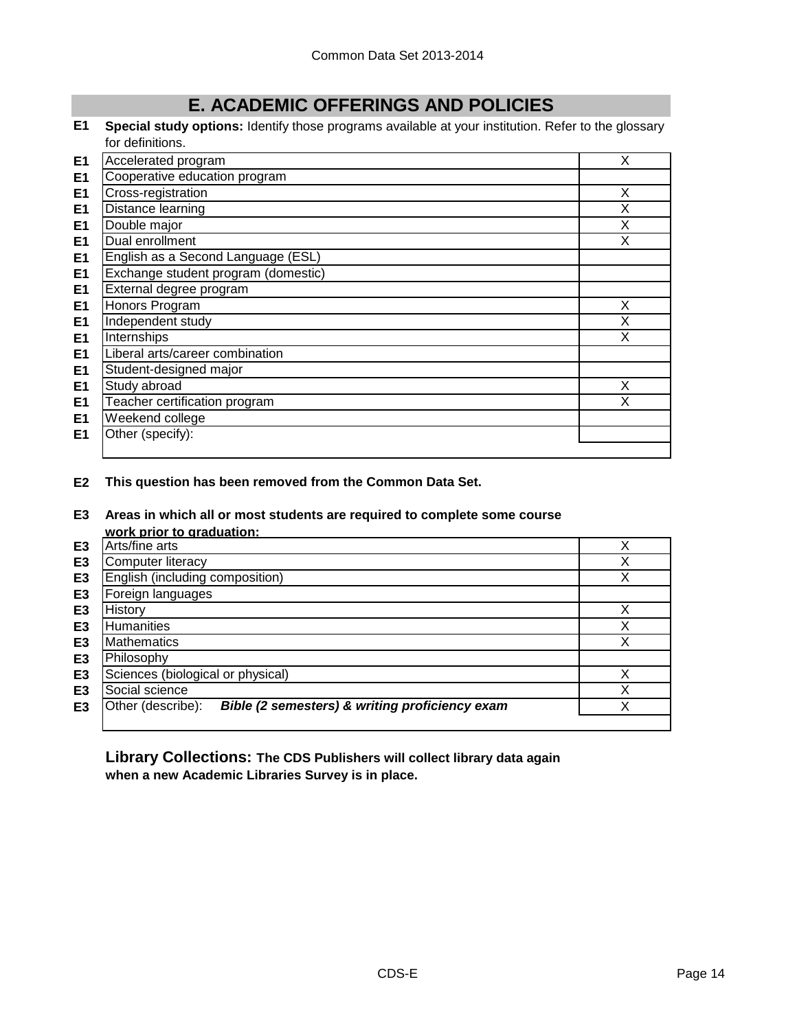# **E. ACADEMIC OFFERINGS AND POLICIES**

**E1 Special study options:** Identify those programs available at your institution. Refer to the glossary for definitions.

| E <sub>1</sub> | Accelerated program                 | X |
|----------------|-------------------------------------|---|
| E <sub>1</sub> | Cooperative education program       |   |
| E <sub>1</sub> | Cross-registration                  | X |
| E1             | Distance learning                   | X |
| E <sub>1</sub> | Double major                        | X |
| E <sub>1</sub> | Dual enrollment                     | X |
| E1             | English as a Second Language (ESL)  |   |
| E <sub>1</sub> | Exchange student program (domestic) |   |
| E <sub>1</sub> | External degree program             |   |
| E <sub>1</sub> | Honors Program                      | X |
| E <sub>1</sub> | Independent study                   | X |
| E <sub>1</sub> | Internships                         | X |
| E <sub>1</sub> | Liberal arts/career combination     |   |
| E <sub>1</sub> | Student-designed major              |   |
| E <sub>1</sub> | Study abroad                        | X |
| E <sub>1</sub> | Teacher certification program       | X |
| E <sub>1</sub> | Weekend college                     |   |
| E <sub>1</sub> | Other (specify):                    |   |
|                |                                     |   |

**E2 This question has been removed from the Common Data Set.**

#### **E3 Areas in which all or most students are required to complete some course work prior to graduation:**

|                | work prior to graduation.                                           |   |
|----------------|---------------------------------------------------------------------|---|
| E <sub>3</sub> | Arts/fine arts                                                      |   |
| E <sub>3</sub> | <b>Computer literacy</b>                                            | ◡ |
| E <sub>3</sub> | English (including composition)                                     | ∨ |
| E <sub>3</sub> | Foreign languages                                                   |   |
| E3             | History                                                             |   |
| E <sub>3</sub> | <b>Humanities</b>                                                   |   |
| E <sub>3</sub> | <b>Mathematics</b>                                                  |   |
| E <sub>3</sub> | Philosophy                                                          |   |
| E <sub>3</sub> | Sciences (biological or physical)                                   |   |
| E3             | Social science                                                      |   |
| E3             | Bible (2 semesters) & writing proficiency exam<br>Other (describe): |   |
|                |                                                                     |   |

**Library Collections: The CDS Publishers will collect library data again when a new Academic Libraries Survey is in place.**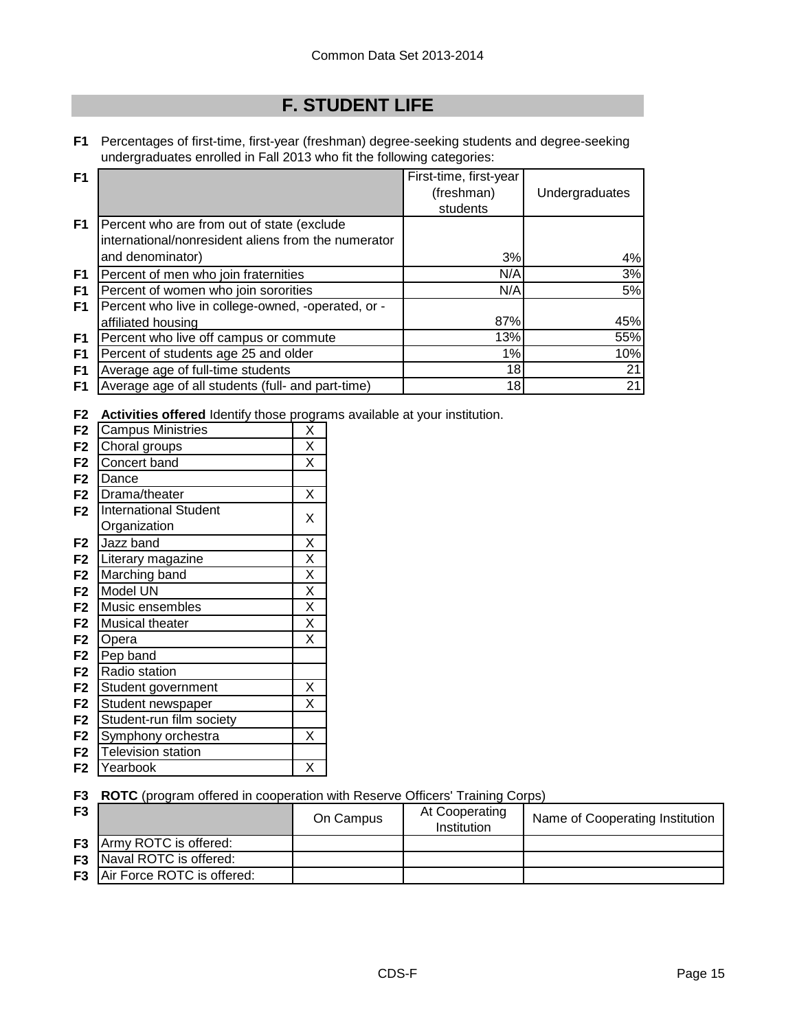# **F. STUDENT LIFE**

**F1** Percentages of first-time, first-year (freshman) degree-seeking students and degree-seeking undergraduates enrolled in Fall 2013 who fit the following categories:

| F <sub>1</sub> |                                                     | First-time, first-year |                |
|----------------|-----------------------------------------------------|------------------------|----------------|
|                |                                                     | (freshman)             | Undergraduates |
|                |                                                     | students               |                |
| F <sub>1</sub> | Percent who are from out of state (exclude          |                        |                |
|                | international/nonresident aliens from the numerator |                        |                |
|                | and denominator)                                    | 3%                     | 4%             |
| F1             | Percent of men who join fraternities                | N/A                    | 3%             |
| F1             | Percent of women who join sororities                | N/A                    | 5%             |
| F1             | Percent who live in college-owned, -operated, or -  |                        |                |
|                | affiliated housing                                  | 87%                    | 45%            |
| F <sub>1</sub> | Percent who live off campus or commute              | 13%                    | 55%            |
| F1             | Percent of students age 25 and older                | 1%                     | 10%            |
| F <sub>1</sub> | Average age of full-time students                   | 18                     | 21             |
| F1             | Average age of all students (full- and part-time)   | 18                     | 21             |

**F2 Activities offered** Identify those programs available at your institution.

| F <sub>2</sub> | <b>Campus Ministries</b>     | Χ                       |
|----------------|------------------------------|-------------------------|
| F <sub>2</sub> | Choral groups                | X                       |
| F <sub>2</sub> | Concert band                 | X                       |
| F <sub>2</sub> | Dance                        |                         |
| F <sub>2</sub> | Drama/theater                | Χ                       |
| F <sub>2</sub> | <b>International Student</b> | X                       |
|                | Organization                 |                         |
| F <sub>2</sub> | Jazz band                    | X                       |
| F <sub>2</sub> | Literary magazine            | $\overline{\mathsf{x}}$ |
| F <sub>2</sub> | Marching band                | $\overline{\mathsf{x}}$ |
| F <sub>2</sub> | Model UN                     | $\overline{\mathsf{x}}$ |
| F <sub>2</sub> | Music ensembles              | X                       |
| F <sub>2</sub> | <b>Musical theater</b>       | $\overline{\mathsf{x}}$ |
| F <sub>2</sub> | Opera                        | X                       |
| F <sub>2</sub> | Pep band                     |                         |
| F <sub>2</sub> | Radio station                |                         |
| F <sub>2</sub> | Student government           | X                       |
| F <sub>2</sub> | Student newspaper            | X                       |
| F <sub>2</sub> | Student-run film society     |                         |
| F <sub>2</sub> | Symphony orchestra           | Χ                       |
| F <sub>2</sub> | <b>Television station</b>    |                         |
| F <sub>2</sub> | Yearbook                     | X                       |

**F3 ROTC** (program offered in cooperation with Reserve Officers' Training Corps)

| F <sub>3</sub> |                                      | On Campus | At Cooperating<br>Institution | Name of Cooperating Institution |
|----------------|--------------------------------------|-----------|-------------------------------|---------------------------------|
|                | <b>F3</b> Army ROTC is offered:      |           |                               |                                 |
|                | <b>F3</b> Naval ROTC is offered:     |           |                               |                                 |
|                | <b>F3</b> Air Force ROTC is offered: |           |                               |                                 |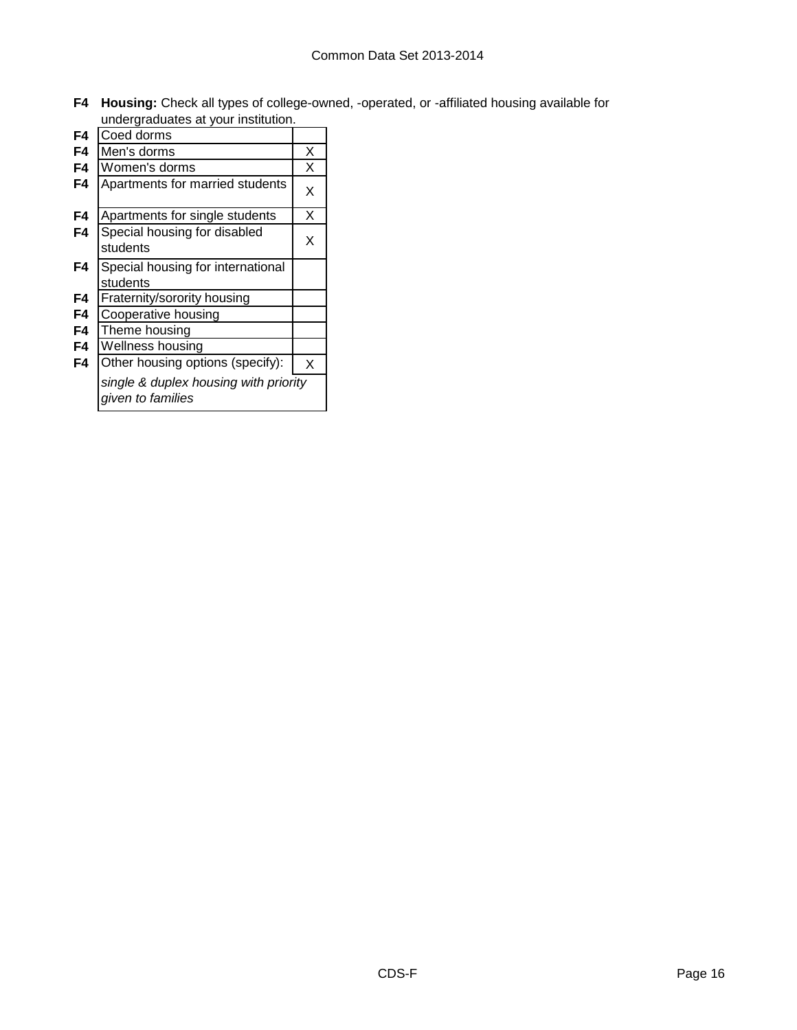**F4 Housing:** Check all types of college-owned, -operated, or -affiliated housing available for undergraduates at your institution.

| F4 | Coed dorms                                                 |   |
|----|------------------------------------------------------------|---|
| F4 | Men's dorms                                                | Χ |
| F4 | Women's dorms                                              | X |
| F4 | Apartments for married students                            | X |
| F4 | Apartments for single students                             | Χ |
| F4 | Special housing for disabled<br>students                   | Χ |
| F4 | Special housing for international<br>students              |   |
| F4 | Fraternity/sorority housing                                |   |
| F4 | Cooperative housing                                        |   |
| F4 | Theme housing                                              |   |
| F4 | Wellness housing                                           |   |
| F4 | Other housing options (specify):                           | X |
|    | single & duplex housing with priority<br>given to families |   |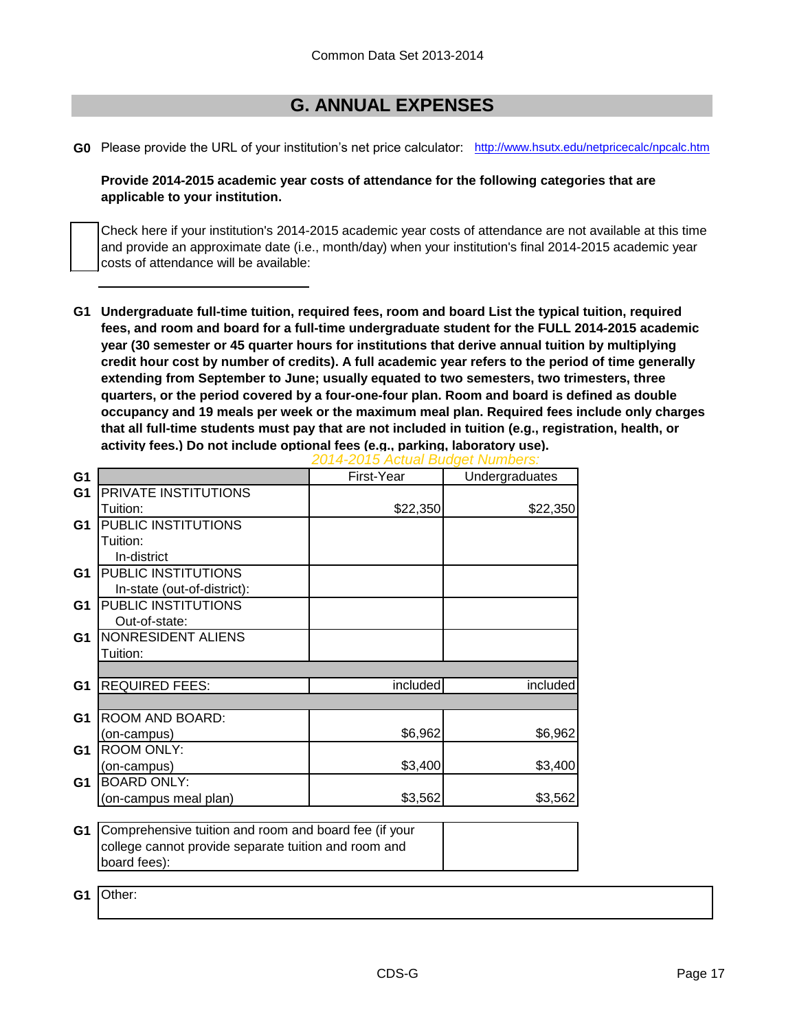# **G. ANNUAL EXPENSES**

**G0** Please provide the URL of your institution's net price calculator: [http://www.hsutx.edu](http://www.hsutx.edu/netpricecalc/npcalc.htm)/netpricecalc/npcalc.htm

**Provide 2014-2015 academic year costs of attendance for the following categories that are applicable to your institution.**

Check here if your institution's 2014-2015 academic year costs of attendance are not available at this time and provide an approximate date (i.e., month/day) when your institution's final 2014-2015 academic year costs of attendance will be available:

**G1 Undergraduate full-time tuition, required fees, room and board List the typical tuition, required fees, and room and board for a full-time undergraduate student for the FULL 2014-2015 academic year (30 semester or 45 quarter hours for institutions that derive annual tuition by multiplying credit hour cost by number of credits). A full academic year refers to the period of time generally extending from September to June; usually equated to two semesters, two trimesters, three quarters, or the period covered by a four-one-four plan. Room and board is defined as double occupancy and 19 meals per week or the maximum meal plan. Required fees include only charges that all full-time students must pay that are not included in tuition (e.g., registration, health, or activity fees.) Do not include optional fees (e.g., parking, laboratory use).**

| G <sub>1</sub> |                                                       | First-Year | Undergraduates |
|----------------|-------------------------------------------------------|------------|----------------|
| G <sub>1</sub> | PRIVATE INSTITUTIONS                                  |            |                |
|                | Tuition:                                              | \$22,350   | \$22,350       |
| G <sub>1</sub> | PUBLIC INSTITUTIONS                                   |            |                |
|                | Tuition:                                              |            |                |
|                | In-district                                           |            |                |
| G <sub>1</sub> | <b>PUBLIC INSTITUTIONS</b>                            |            |                |
|                | In-state (out-of-district):                           |            |                |
| G <sub>1</sub> | PUBLIC INSTITUTIONS                                   |            |                |
|                | Out-of-state:                                         |            |                |
| G <sub>1</sub> | NONRESIDENT ALIENS                                    |            |                |
|                | Tuition:                                              |            |                |
|                |                                                       |            |                |
| G1             | <b>REQUIRED FEES:</b>                                 | included   | included       |
|                |                                                       |            |                |
| G <sub>1</sub> | ROOM AND BOARD:                                       |            |                |
|                | (on-campus)                                           | \$6,962    | \$6,962        |
| G <sub>1</sub> | <b>ROOM ONLY:</b>                                     |            |                |
|                | (on-campus)                                           | \$3,400    | \$3,400        |
| G1             | <b>BOARD ONLY:</b>                                    |            |                |
|                | (on-campus meal plan)                                 | \$3,562    | \$3,562        |
|                |                                                       |            |                |
| G <sub>1</sub> | Comprehensive tuition and room and board fee (if your |            |                |
|                | college cannot provide separate tuition and room and  |            |                |
|                | board fees):                                          |            |                |
|                |                                                       |            |                |
| G1             | Other:                                                |            |                |

*2014-2015 Actual Budget Numbers:*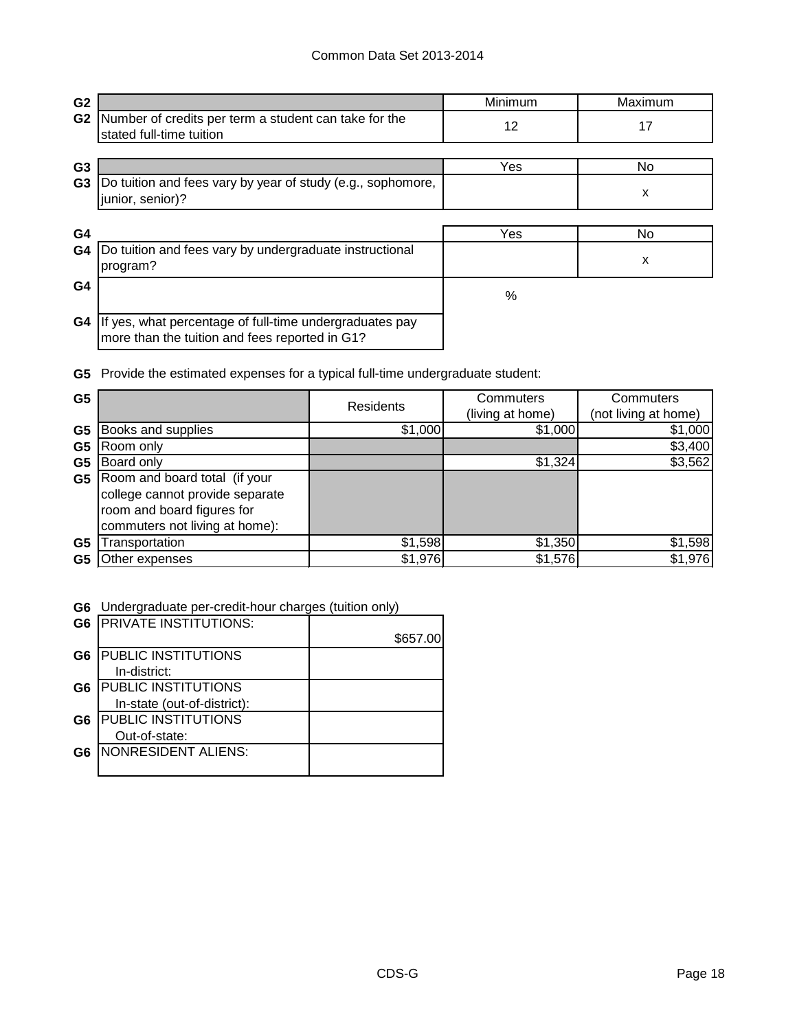| G <sub>2</sub> |                                                                                                           | Minimum | Maximum |
|----------------|-----------------------------------------------------------------------------------------------------------|---------|---------|
| G <sub>2</sub> | Number of credits per term a student can take for the<br>stated full-time tuition                         | 12      | 17      |
| G <sub>3</sub> |                                                                                                           | Yes     | No.     |
| G <sub>3</sub> | Do tuition and fees vary by year of study (e.g., sophomore,<br>junior, senior)?                           |         | X       |
| G4             |                                                                                                           | Yes     | No.     |
| G4             | Do tuition and fees vary by undergraduate instructional<br>program?                                       |         | X       |
| G4             |                                                                                                           | %       |         |
| G4             | If yes, what percentage of full-time undergraduates pay<br>more than the tuition and fees reported in G1? |         |         |

**G5** Provide the estimated expenses for a typical full-time undergraduate student:

| G <sub>5</sub> |                                                                                                                                  | Residents | Commuters<br>(living at home) | Commuters<br>(not living at home) |
|----------------|----------------------------------------------------------------------------------------------------------------------------------|-----------|-------------------------------|-----------------------------------|
| G <sub>5</sub> | Books and supplies                                                                                                               | \$1,000   | \$1,000                       | \$1,000                           |
| G <sub>5</sub> | Room only                                                                                                                        |           |                               | \$3,400                           |
| G <sub>5</sub> | Board only                                                                                                                       |           | \$1,324                       | \$3,562                           |
| G5             | Room and board total (if your<br>college cannot provide separate<br>room and board figures for<br>commuters not living at home): |           |                               |                                   |
| G <sub>5</sub> | Transportation                                                                                                                   | \$1,598   | \$1,350                       | \$1,598                           |
| G5             | Other expenses                                                                                                                   | \$1,976   | \$1,576                       | \$1,976                           |

**G6** Undergraduate per-credit-hour charges (tuition only)

|                | <b>G6 IPRIVATE INSTITUTIONS:</b> |          |
|----------------|----------------------------------|----------|
|                |                                  | \$657.00 |
| G <sub>6</sub> | <b>PUBLIC INSTITUTIONS</b>       |          |
|                | In-district:                     |          |
| G6             | <b>PUBLIC INSTITUTIONS</b>       |          |
|                | In-state (out-of-district):      |          |
| G <sub>6</sub> | <b>PUBLIC INSTITUTIONS</b>       |          |
|                | Out-of-state:                    |          |
| G6             | NONRESIDENT ALIENS:              |          |
|                |                                  |          |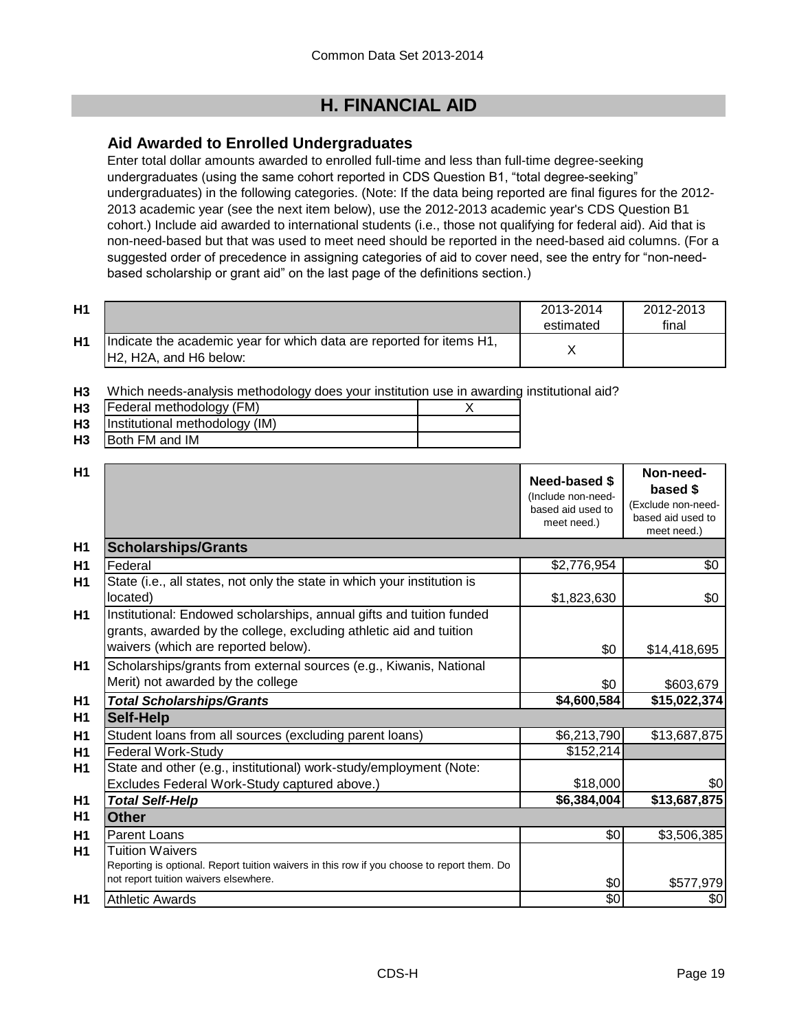# **H. FINANCIAL AID**

## **Aid Awarded to Enrolled Undergraduates**

Enter total dollar amounts awarded to enrolled full-time and less than full-time degree-seeking undergraduates (using the same cohort reported in CDS Question B1, "total degree-seeking" undergraduates) in the following categories. (Note: If the data being reported are final figures for the 2012- 2013 academic year (see the next item below), use the 2012-2013 academic year's CDS Question B1 cohort.) Include aid awarded to international students (i.e., those not qualifying for federal aid). Aid that is non-need-based but that was used to meet need should be reported in the need-based aid columns. (For a suggested order of precedence in assigning categories of aid to cover need, see the entry for "non-needbased scholarship or grant aid" on the last page of the definitions section.)

| H1 |                                                                                                                                      | 2013-2014<br>estimated | 2012-2013<br>final |
|----|--------------------------------------------------------------------------------------------------------------------------------------|------------------------|--------------------|
| H1 | Indicate the academic year for which data are reported for items H1,<br>H <sub>2</sub> , H <sub>2</sub> A, and H <sub>6</sub> below: |                        |                    |

**H3** Which needs-analysis methodology does your institution use in awarding institutional aid?

| H <sub>3</sub> | Federal methodology (FM)       |  |
|----------------|--------------------------------|--|
| H <sub>3</sub> | Institutional methodology (IM) |  |
| H3             | <b>Both FM and IM</b>          |  |

| H1             |                                                                                                                                                                                   | Need-based \$<br>(Include non-need-<br>based aid used to<br>meet need.) | Non-need-<br>based \$<br>(Exclude non-need-<br>based aid used to<br>meet need.) |
|----------------|-----------------------------------------------------------------------------------------------------------------------------------------------------------------------------------|-------------------------------------------------------------------------|---------------------------------------------------------------------------------|
| H <sub>1</sub> | <b>Scholarships/Grants</b>                                                                                                                                                        |                                                                         |                                                                                 |
| H1             | Federal                                                                                                                                                                           | \$2,776,954                                                             | \$0                                                                             |
| H1             | State (i.e., all states, not only the state in which your institution is<br>located)                                                                                              | \$1,823,630                                                             | \$0                                                                             |
| H1             | Institutional: Endowed scholarships, annual gifts and tuition funded<br>grants, awarded by the college, excluding athletic aid and tuition<br>waivers (which are reported below). | \$0                                                                     | \$14,418,695                                                                    |
| H1             | Scholarships/grants from external sources (e.g., Kiwanis, National<br>Merit) not awarded by the college                                                                           | \$0                                                                     | \$603,679                                                                       |
| H1             | <b>Total Scholarships/Grants</b>                                                                                                                                                  | \$4,600,584                                                             | \$15,022,374                                                                    |
| H <sub>1</sub> | <b>Self-Help</b>                                                                                                                                                                  |                                                                         |                                                                                 |
| H1             | Student loans from all sources (excluding parent loans)                                                                                                                           | \$6,213,790                                                             | \$13,687,875                                                                    |
| H1             | <b>Federal Work-Study</b>                                                                                                                                                         | \$152,214                                                               |                                                                                 |
| H1             | State and other (e.g., institutional) work-study/employment (Note:                                                                                                                |                                                                         |                                                                                 |
|                | Excludes Federal Work-Study captured above.)                                                                                                                                      | \$18,000                                                                | \$0                                                                             |
| H <sub>1</sub> | <b>Total Self-Help</b>                                                                                                                                                            | \$6,384,004                                                             | \$13,687,875                                                                    |
| H1             | Other                                                                                                                                                                             |                                                                         |                                                                                 |
| H1             | <b>Parent Loans</b>                                                                                                                                                               | \$0                                                                     | \$3,506,385                                                                     |
| H1             | Tuition Waivers<br>Reporting is optional. Report tuition waivers in this row if you choose to report them. Do<br>not report tuition waivers elsewhere.                            | \$0                                                                     | \$577,979                                                                       |
| H1             | <b>Athletic Awards</b>                                                                                                                                                            | \$0                                                                     | \$0                                                                             |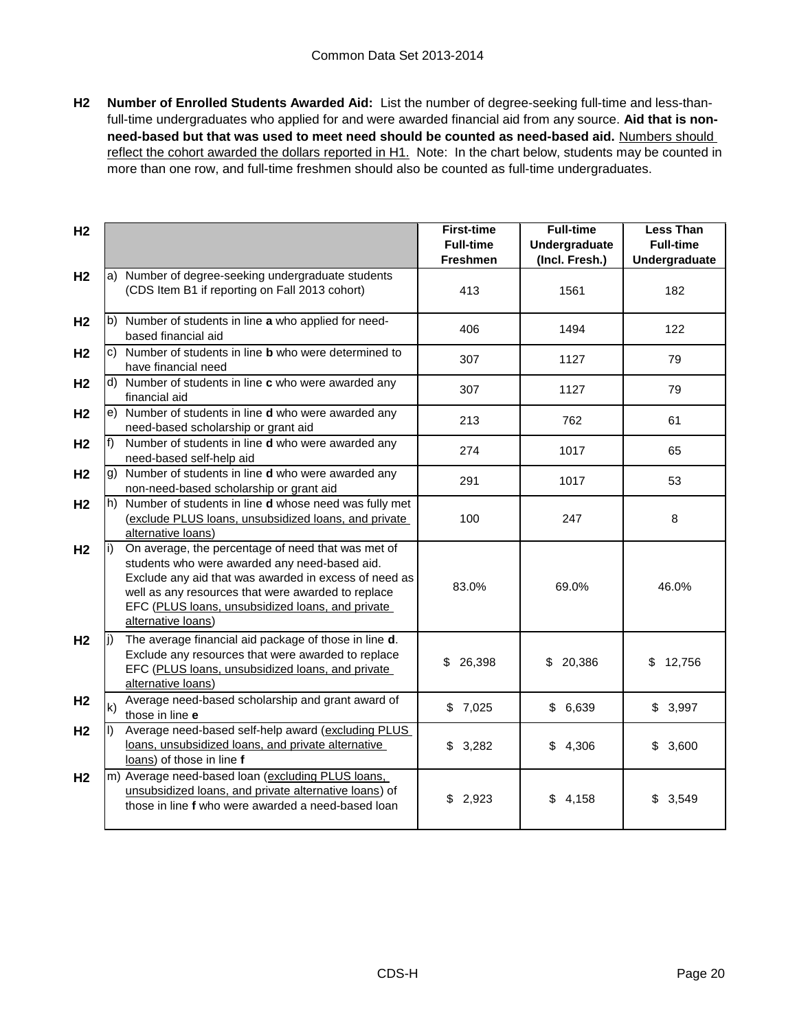**H2 Number of Enrolled Students Awarded Aid:** List the number of degree-seeking full-time and less-thanfull-time undergraduates who applied for and were awarded financial aid from any source. **Aid that is nonneed-based but that was used to meet need should be counted as need-based aid.** Numbers should reflect the cohort awarded the dollars reported in H1. Note: In the chart below, students may be counted in more than one row, and full-time freshmen should also be counted as full-time undergraduates.

| H <sub>2</sub> |              |                                                                                                                                                                                                                                                                                              | <b>First-time</b><br><b>Full-time</b><br>Freshmen | <b>Full-time</b><br>Undergraduate<br>(Incl. Fresh.) | <b>Less Than</b><br><b>Full-time</b><br>Undergraduate |
|----------------|--------------|----------------------------------------------------------------------------------------------------------------------------------------------------------------------------------------------------------------------------------------------------------------------------------------------|---------------------------------------------------|-----------------------------------------------------|-------------------------------------------------------|
| H <sub>2</sub> |              | a) Number of degree-seeking undergraduate students<br>(CDS Item B1 if reporting on Fall 2013 cohort)                                                                                                                                                                                         | 413                                               | 1561                                                | 182                                                   |
| H <sub>2</sub> |              | b) Number of students in line a who applied for need-<br>based financial aid                                                                                                                                                                                                                 | 406                                               | 1494                                                | 122                                                   |
| H <sub>2</sub> |              | c) Number of students in line <b>b</b> who were determined to<br>have financial need                                                                                                                                                                                                         | 307                                               | 1127                                                | 79                                                    |
| H <sub>2</sub> |              | d) Number of students in line c who were awarded any<br>financial aid                                                                                                                                                                                                                        | 307                                               | 1127                                                | 79                                                    |
| H <sub>2</sub> |              | e) Number of students in line d who were awarded any<br>need-based scholarship or grant aid                                                                                                                                                                                                  | 213                                               | 762                                                 | 61                                                    |
| H <sub>2</sub> | f)           | Number of students in line d who were awarded any<br>need-based self-help aid                                                                                                                                                                                                                | 274                                               | 1017                                                | 65                                                    |
| H <sub>2</sub> |              | g) Number of students in line d who were awarded any<br>non-need-based scholarship or grant aid                                                                                                                                                                                              | 291                                               | 1017                                                | 53                                                    |
| H <sub>2</sub> |              | h) Number of students in line <b>d</b> whose need was fully met<br>(exclude PLUS loans, unsubsidized loans, and private<br>alternative loans)                                                                                                                                                | 100                                               | 247                                                 | 8                                                     |
| H <sub>2</sub> | li)          | On average, the percentage of need that was met of<br>students who were awarded any need-based aid.<br>Exclude any aid that was awarded in excess of need as<br>well as any resources that were awarded to replace<br>EFC (PLUS loans, unsubsidized loans, and private<br>alternative loans) | 83.0%                                             | 69.0%                                               | 46.0%                                                 |
| H <sub>2</sub> | li)          | The average financial aid package of those in line d.<br>Exclude any resources that were awarded to replace<br>EFC (PLUS loans, unsubsidized loans, and private<br>alternative loans)                                                                                                        | \$<br>26,398                                      | \$20,386                                            | 12,756<br>\$                                          |
| H <sub>2</sub> | $\mathsf{k}$ | Average need-based scholarship and grant award of<br>those in line e                                                                                                                                                                                                                         | \$7,025                                           | \$6,639                                             | \$3,997                                               |
| H <sub>2</sub> | II)          | Average need-based self-help award (excluding PLUS<br>loans, unsubsidized loans, and private alternative<br>loans) of those in line f                                                                                                                                                        | \$<br>3,282                                       | \$<br>4,306                                         | \$<br>3,600                                           |
| H <sub>2</sub> |              | m) Average need-based loan (excluding PLUS loans,<br>unsubsidized loans, and private alternative loans) of<br>those in line f who were awarded a need-based loan                                                                                                                             | \$2,923                                           | \$4,158                                             | \$3,549                                               |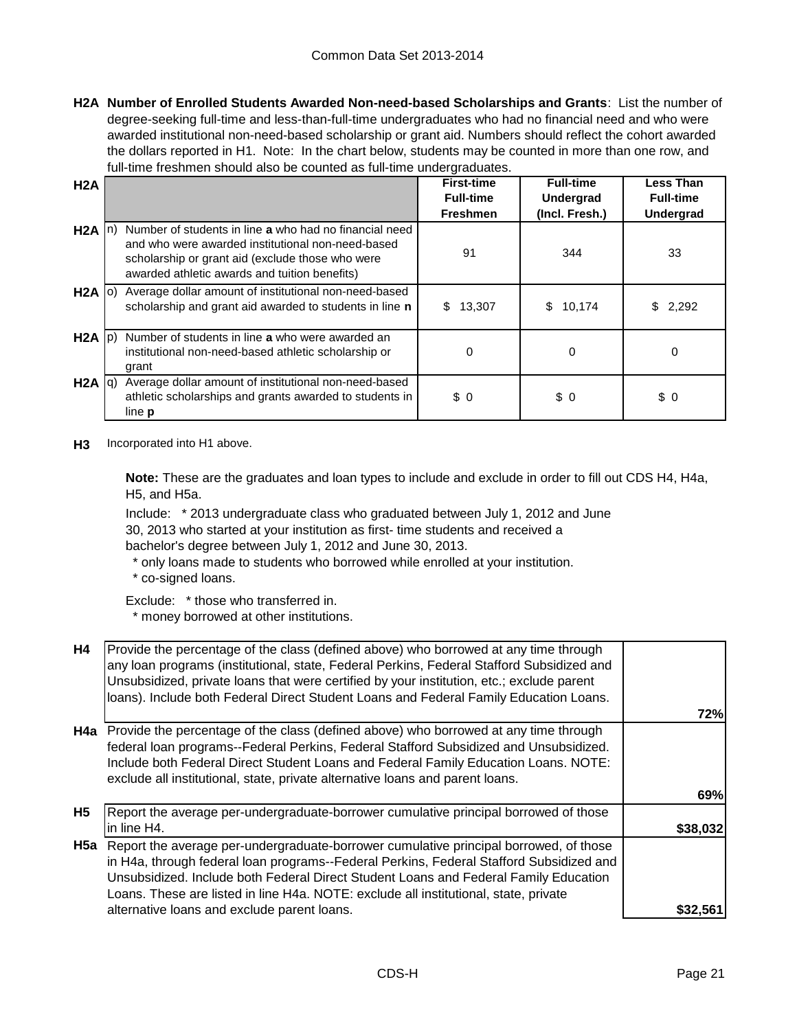**H2A Number of Enrolled Students Awarded Non-need-based Scholarships and Grants**: List the number of degree-seeking full-time and less-than-full-time undergraduates who had no financial need and who were awarded institutional non-need-based scholarship or grant aid. Numbers should reflect the cohort awarded the dollars reported in H1. Note: In the chart below, students may be counted in more than one row, and full-time freshmen should also be counted as full-time undergraduates.

| H2A               |                                                                                                                                                                                                                  | <b>First-time</b><br><b>Full-time</b><br><b>Freshmen</b> | <b>Full-time</b><br><b>Undergrad</b><br>(Incl. Fresh.) | <b>Less Than</b><br><b>Full-time</b><br><b>Undergrad</b> |
|-------------------|------------------------------------------------------------------------------------------------------------------------------------------------------------------------------------------------------------------|----------------------------------------------------------|--------------------------------------------------------|----------------------------------------------------------|
| $H2A \ln$         | Number of students in line a who had no financial need<br>and who were awarded institutional non-need-based<br>scholarship or grant aid (exclude those who were<br>awarded athletic awards and tuition benefits) | 91                                                       | 344                                                    | 33                                                       |
| $H2A$ (0)         | Average dollar amount of institutional non-need-based<br>scholarship and grant aid awarded to students in line n                                                                                                 | 13,307<br>\$                                             | \$<br>10,174                                           | \$2,292                                                  |
| $H2A$ $ p\rangle$ | Number of students in line a who were awarded an<br>institutional non-need-based athletic scholarship or<br>grant                                                                                                | 0                                                        | 0                                                      | 0                                                        |
| $H2A  q\rangle$   | Average dollar amount of institutional non-need-based<br>athletic scholarships and grants awarded to students in<br>line <b>p</b>                                                                                | \$0                                                      | \$0                                                    | \$0                                                      |

**H3** Incorporated into H1 above.

**Note:** These are the graduates and loan types to include and exclude in order to fill out CDS H4, H4a, H5, and H5a.

Include: \* 2013 undergraduate class who graduated between July 1, 2012 and June

30, 2013 who started at your institution as first- time students and received a

bachelor's degree between July 1, 2012 and June 30, 2013.

 \* only loans made to students who borrowed while enrolled at your institution. \* co-signed loans.

Exclude: \* those who transferred in.

\* money borrowed at other institutions.

| <b>H4</b> | Provide the percentage of the class (defined above) who borrowed at any time through<br>any loan programs (institutional, state, Federal Perkins, Federal Stafford Subsidized and<br>Unsubsidized, private loans that were certified by your institution, etc.; exclude parent<br>loans). Include both Federal Direct Student Loans and Federal Family Education Loans. |          |
|-----------|-------------------------------------------------------------------------------------------------------------------------------------------------------------------------------------------------------------------------------------------------------------------------------------------------------------------------------------------------------------------------|----------|
|           |                                                                                                                                                                                                                                                                                                                                                                         | 72%      |
| H4a       | Provide the percentage of the class (defined above) who borrowed at any time through<br>federal loan programs--Federal Perkins, Federal Stafford Subsidized and Unsubsidized.<br>Include both Federal Direct Student Loans and Federal Family Education Loans. NOTE:<br>exclude all institutional, state, private alternative loans and parent loans.                   |          |
|           |                                                                                                                                                                                                                                                                                                                                                                         | 69%      |
| <b>H5</b> | Report the average per-undergraduate-borrower cumulative principal borrowed of those<br>in line H4.                                                                                                                                                                                                                                                                     | \$38,032 |
|           | H5a Report the average per-undergraduate-borrower cumulative principal borrowed, of those<br>in H4a, through federal loan programs--Federal Perkins, Federal Stafford Subsidized and<br>Unsubsidized. Include both Federal Direct Student Loans and Federal Family Education<br>Loans. These are listed in line H4a. NOTE: exclude all institutional, state, private    |          |
|           | alternative loans and exclude parent loans.                                                                                                                                                                                                                                                                                                                             | \$32.56  |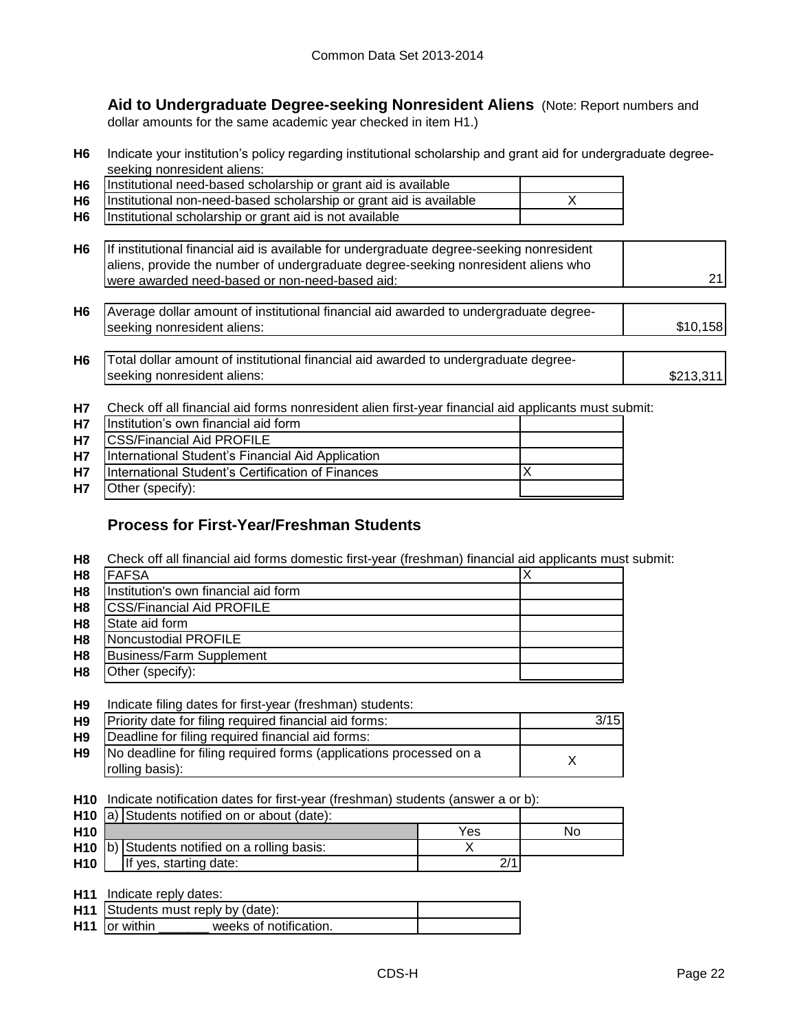**Aid to Undergraduate Degree-seeking Nonresident Aliens** (Note: Report numbers and dollar amounts for the same academic year checked in item H1.)

**H6** Indicate your institution's policy regarding institutional scholarship and grant aid for undergraduate degreeseeking nonresident aliens:

| <b>H6</b> | Institutional need-based scholarship or grant aid is available     |  |
|-----------|--------------------------------------------------------------------|--|
| <b>H6</b> | Institutional non-need-based scholarship or grant aid is available |  |
| <b>H6</b> | Institutional scholarship or grant aid is not available            |  |

| H6   If institutional financial aid is available for undergraduate degree-seeking nonresident |  |
|-----------------------------------------------------------------------------------------------|--|
| aliens, provide the number of undergraduate degree-seeking nonresident aliens who             |  |
| were awarded need-based or non-need-based aid:                                                |  |

**H6** \$10,158 Average dollar amount of institutional financial aid awarded to undergraduate degreeseeking nonresident aliens:

| H6 | $\Box$ Total dollar amount of institutional financial aid awarded to undergraduate degree- |           |
|----|--------------------------------------------------------------------------------------------|-----------|
|    | seeking nonresident aliens:                                                                | \$213.311 |

**H7** Check off all financial aid forms nonresident alien first-year financial aid applicants must submit:

| <b>H7</b> | Institution's own financial aid form              |  |
|-----------|---------------------------------------------------|--|
| <b>H7</b> | <b>CSS/Financial Aid PROFILE</b>                  |  |
| <b>H7</b> | International Student's Financial Aid Application |  |
| <b>H7</b> | International Student's Certification of Finances |  |
| <b>H7</b> | Other (specify):                                  |  |

## **Process for First-Year/Freshman Students**

**H8** Check off all financial aid forms domestic first-year (freshman) financial aid applicants must submit:

| H <sub>8</sub> | <b>FAFSA</b>                         |  |
|----------------|--------------------------------------|--|
| H <sub>8</sub> | Institution's own financial aid form |  |
| H <sub>8</sub> | <b>ICSS/Financial Aid PROFILE</b>    |  |
| H <sub>8</sub> | State aid form                       |  |
| H <sub>8</sub> | Noncustodial PROFILE                 |  |
| H <sub>8</sub> | Business/Farm Supplement             |  |
| H <sub>8</sub> | Other (specify):                     |  |

#### **H9** Indicate filing dates for first-year (freshman) students:

| H <sub>9</sub> | Priority date for filing required financial aid forms:                                | 3/15 <b>1</b> |
|----------------|---------------------------------------------------------------------------------------|---------------|
| H9             | Deadline for filing required financial aid forms:                                     |               |
| <b>H9</b>      | No deadline for filing required forms (applications processed on a<br>rolling basis): |               |
|                |                                                                                       |               |

**H10** Indicate notification dates for first-year (freshman) students (answer a or b):

|                 | <b>H10</b> $ a $ Students notified on or about (date): |                                                |     |    |
|-----------------|--------------------------------------------------------|------------------------------------------------|-----|----|
| H <sub>10</sub> |                                                        |                                                | Yes | Nο |
|                 |                                                        | $H10$ b) Students notified on a rolling basis: |     |    |
| <b>H10</b>      |                                                        | If yes, starting date:                         |     |    |

| H <sub>11</sub> | Indicate reply dates: |
|-----------------|-----------------------|
|-----------------|-----------------------|

|                      | <b>H11</b> Students must reply by (date): |  |
|----------------------|-------------------------------------------|--|
| <b>H11</b> or within | weeks of notification.                    |  |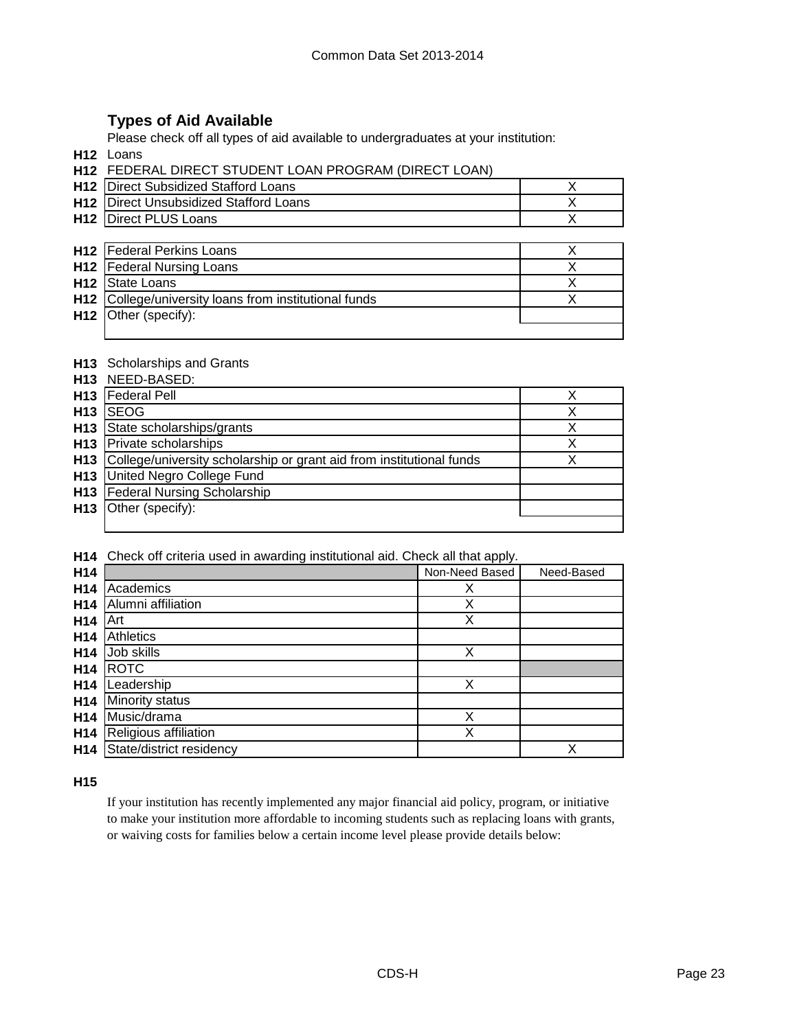## **Types of Aid Available**

Please check off all types of aid available to undergraduates at your institution:

**H12** Loans

| <b>H12 FEDERAL DIRECT STUDENT LOAN PROGRAM (DIRECT LOAN)</b> |  |  |
|--------------------------------------------------------------|--|--|
|                                                              |  |  |

| <b>H12</b> Direct Subsidized Stafford Loans   |  |
|-----------------------------------------------|--|
| <b>H12</b> Direct Unsubsidized Stafford Loans |  |
| <b>H12</b> Direct PLUS Loans                  |  |

| <b>H12</b>   Federal Perkins Loans                    |  |
|-------------------------------------------------------|--|
| <b>H12</b>   Federal Nursing Loans                    |  |
| H <sub>12</sub> State Loans                           |  |
| H12 College/university loans from institutional funds |  |
| $H12$ Other (specify):                                |  |
|                                                       |  |

### **H13** Scholarships and Grants

**H13** NEED-BASED:

|                 | <b>H13</b>   Federal Pell                                                |  |
|-----------------|--------------------------------------------------------------------------|--|
| H <sub>13</sub> | <b>ISEOG</b>                                                             |  |
|                 | H13 State scholarships/grants                                            |  |
|                 | <b>H13</b> Private scholarships                                          |  |
|                 | H13 College/university scholarship or grant aid from institutional funds |  |
|                 | H13 United Negro College Fund                                            |  |
|                 | <b>H13</b> Federal Nursing Scholarship                                   |  |
|                 | H13 Other (specify):                                                     |  |
|                 |                                                                          |  |

**H14** Check off criteria used in awarding institutional aid. Check all that apply.

| H14             |                          | Non-Need Based | Need-Based |
|-----------------|--------------------------|----------------|------------|
| H <sub>14</sub> | Academics                | х              |            |
| H <sub>14</sub> | Alumni affiliation       | X              |            |
| H <sub>14</sub> | Art                      | X              |            |
| H <sub>14</sub> | <b>Athletics</b>         |                |            |
| H <sub>14</sub> | Job skills               | X              |            |
| H <sub>14</sub> | <b>ROTC</b>              |                |            |
| H <sub>14</sub> | Leadership               | Χ              |            |
| H <sub>14</sub> | Minority status          |                |            |
| H <sub>14</sub> | Music/drama              | Χ              |            |
| H <sub>14</sub> | Religious affiliation    | Χ              |            |
| H <sub>14</sub> | State/district residency |                | X          |

## **H15**

If your institution has recently implemented any major financial aid policy, program, or initiative to make your institution more affordable to incoming students such as replacing loans with grants, or waiving costs for families below a certain income level please provide details below: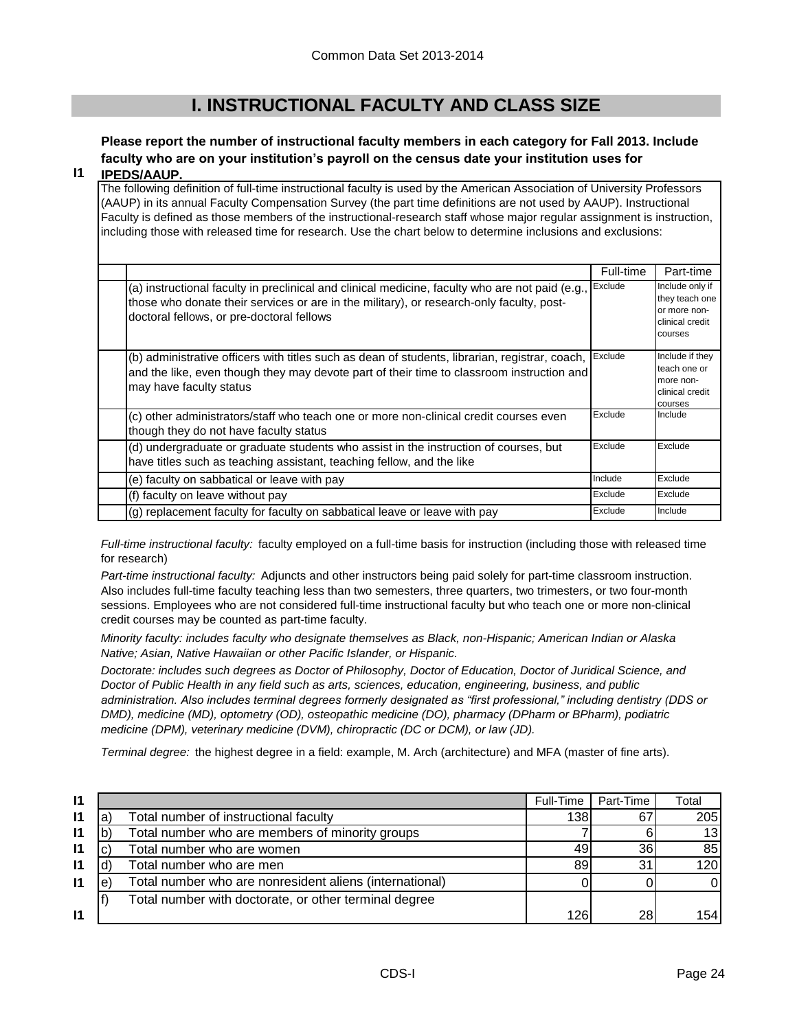# **I. INSTRUCTIONAL FACULTY AND CLASS SIZE**

# **Please report the number of instructional faculty members in each category for Fall 2013. Include faculty who are on your institution's payroll on the census date your institution uses for**

#### **I1 IPEDS/AAUP.**

The following definition of full-time instructional faculty is used by the American Association of University Professors (AAUP) in its annual Faculty Compensation Survey (the part time definitions are not used by AAUP). Instructional Faculty is defined as those members of the instructional-research staff whose major regular assignment is instruction, including those with released time for research. Use the chart below to determine inclusions and exclusions:

|                                                                                                                                                                                                                                          | Full-time | Part-time                                                                       |
|------------------------------------------------------------------------------------------------------------------------------------------------------------------------------------------------------------------------------------------|-----------|---------------------------------------------------------------------------------|
| (a) instructional faculty in preclinical and clinical medicine, faculty who are not paid (e.g.,<br>those who donate their services or are in the military), or research-only faculty, post-<br>doctoral fellows, or pre-doctoral fellows | Exclude   | Include only if<br>they teach one<br>or more non-<br>clinical credit<br>courses |
| (b) administrative officers with titles such as dean of students, librarian, registrar, coach,<br>and the like, even though they may devote part of their time to classroom instruction and<br>may have faculty status                   | Exclude   | Include if they<br>teach one or<br>more non-<br>clinical credit<br>courses      |
| (c) other administrators/staff who teach one or more non-clinical credit courses even<br>though they do not have faculty status                                                                                                          | Exclude   | Include                                                                         |
| (d) undergraduate or graduate students who assist in the instruction of courses, but<br>have titles such as teaching assistant, teaching fellow, and the like                                                                            | Exclude   | Exclude                                                                         |
| (e) faculty on sabbatical or leave with pay                                                                                                                                                                                              | Include   | Exclude                                                                         |
| (f) faculty on leave without pay                                                                                                                                                                                                         | Exclude   | Exclude                                                                         |
| (g) replacement faculty for faculty on sabbatical leave or leave with pay                                                                                                                                                                | Exclude   | Include                                                                         |

*Full-time instructional faculty:* faculty employed on a full-time basis for instruction (including those with released time for research)

*Part-time instructional faculty:* Adjuncts and other instructors being paid solely for part-time classroom instruction. Also includes full-time faculty teaching less than two semesters, three quarters, two trimesters, or two four-month sessions. Employees who are not considered full-time instructional faculty but who teach one or more non-clinical credit courses may be counted as part-time faculty.

*Minority faculty: includes faculty who designate themselves as Black, non-Hispanic; American Indian or Alaska Native; Asian, Native Hawaiian or other Pacific Islander, or Hispanic.* 

*Doctorate: includes such degrees as Doctor of Philosophy, Doctor of Education, Doctor of Juridical Science, and Doctor of Public Health in any field such as arts, sciences, education, engineering, business, and public administration. Also includes terminal degrees formerly designated as "first professional," including dentistry (DDS or DMD), medicine (MD), optometry (OD), osteopathic medicine (DO), pharmacy (DPharm or BPharm), podiatric medicine (DPM), veterinary medicine (DVM), chiropractic (DC or DCM), or law (JD).*

*Terminal degree:* the highest degree in a field: example, M. Arch (architecture) and MFA (master of fine arts).

| $\mathsf{I}$ |    |                                                         | Full-Time | Part-Time | Total            |
|--------------|----|---------------------------------------------------------|-----------|-----------|------------------|
| $\mathsf{I}$ | 'a | Total number of instructional faculty                   | 138       | 67        | 205              |
| $\mathbf{I}$ |    | Total number who are members of minority groups         |           |           | 13               |
| $\mathbf{I}$ |    | Total number who are women                              | 49        | 36        | 85               |
| 11           |    | Total number who are men                                | 89        | 31        | 120 <sup>1</sup> |
| $\mathbf{I}$ | e  | Total number who are nonresident aliens (international) |           |           |                  |
|              |    | Total number with doctorate, or other terminal degree   |           |           |                  |
| <u>11</u>    |    |                                                         | 126       | 28        | 154 I            |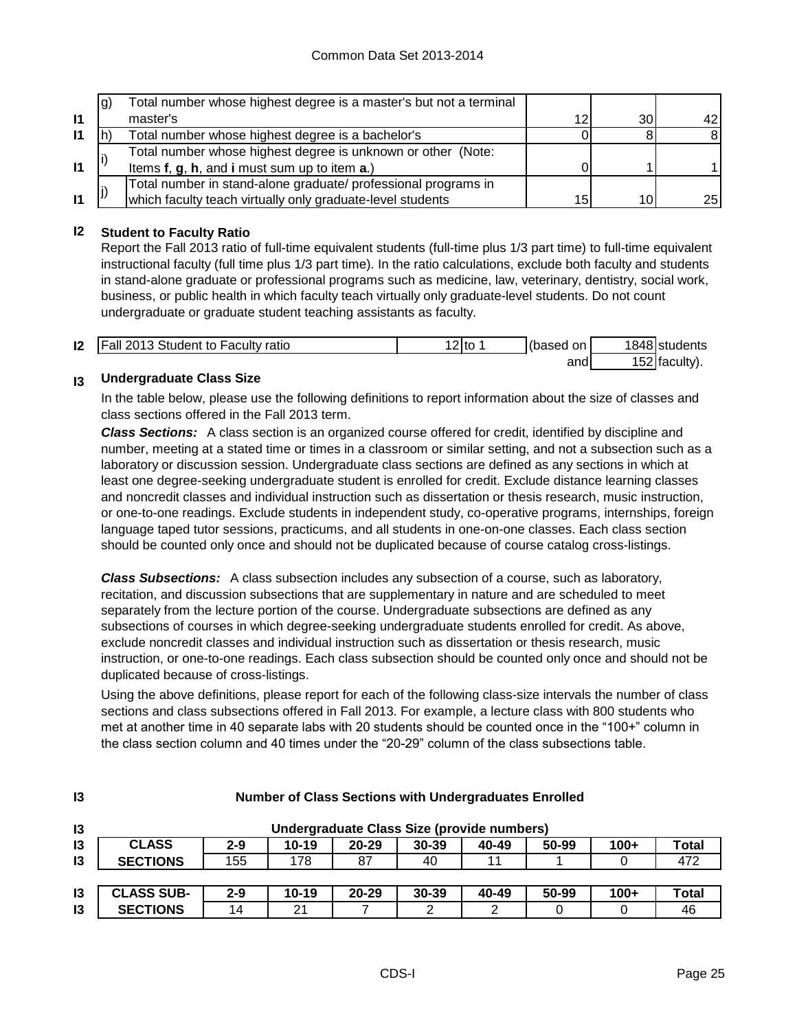|              | lg) | Total number whose highest degree is a master's but not a terminal |    |     |     |
|--------------|-----|--------------------------------------------------------------------|----|-----|-----|
| $\mathbf{I}$ |     | master's                                                           | 12 | 30I | 42  |
| 11           |     | Total number whose highest degree is a bachelor's                  |    |     |     |
|              |     | Total number whose highest degree is unknown or other (Note:       |    |     |     |
| $\mathbf{I}$ |     | Items f, g, h, and i must sum up to item a.)                       |    |     |     |
|              |     | Total number in stand-alone graduate/ professional programs in     |    |     |     |
| $\mathbf{I}$ |     | which faculty teach virtually only graduate-level students         | 15 | 10  | 25I |

## **I2 Student to Faculty Ratio**

Report the Fall 2013 ratio of full-time equivalent students (full-time plus 1/3 part time) to full-time equivalent instructional faculty (full time plus 1/3 part time). In the ratio calculations, exclude both faculty and students in stand-alone graduate or professional programs such as medicine, law, veterinary, dentistry, social work, business, or public health in which faculty teach virtually only graduate-level students. Do not count undergraduate or graduate student teaching assistants as faculty.

| 12 | <b>Fall 2013 Student to Faculty ratio</b> | `?Ito_ | (based on | 1848 students   |
|----|-------------------------------------------|--------|-----------|-----------------|
|    |                                           |        | and       | $152$ faculty). |

#### **I3 Undergraduate Class Size**

**I3**

In the table below, please use the following definitions to report information about the size of classes and class sections offered in the Fall 2013 term.

*Class Sections:* A class section is an organized course offered for credit, identified by discipline and number, meeting at a stated time or times in a classroom or similar setting, and not a subsection such as a laboratory or discussion session. Undergraduate class sections are defined as any sections in which at least one degree-seeking undergraduate student is enrolled for credit. Exclude distance learning classes and noncredit classes and individual instruction such as dissertation or thesis research, music instruction, or one-to-one readings. Exclude students in independent study, co-operative programs, internships, foreign language taped tutor sessions, practicums, and all students in one-on-one classes. Each class section should be counted only once and should not be duplicated because of course catalog cross-listings.

*Class Subsections:* A class subsection includes any subsection of a course, such as laboratory, recitation, and discussion subsections that are supplementary in nature and are scheduled to meet separately from the lecture portion of the course. Undergraduate subsections are defined as any subsections of courses in which degree-seeking undergraduate students enrolled for credit. As above, exclude noncredit classes and individual instruction such as dissertation or thesis research, music instruction, or one-to-one readings. Each class subsection should be counted only once and should not be duplicated because of cross-listings.

Using the above definitions, please report for each of the following class-size intervals the number of class sections and class subsections offered in Fall 2013. For example, a lecture class with 800 students who met at another time in 40 separate labs with 20 students should be counted once in the "100+" column in the class section column and 40 times under the "20-29" column of the class subsections table.

| $\mathbf{13}$   | Undergraduate Class Size (provide numbers) |         |           |           |           |       |       |        |       |
|-----------------|--------------------------------------------|---------|-----------|-----------|-----------|-------|-------|--------|-------|
| 13              | <b>CLASS</b>                               | $2 - 9$ | $10 - 19$ | $20 - 29$ | $30 - 39$ | 40-49 | 50-99 | $100+$ | Total |
| $\overline{13}$ | <b>SECTIONS</b>                            | 155     | 178       | 87        | 40        | 11    |       |        | 472   |
|                 |                                            |         |           |           |           |       |       |        |       |
| $\overline{3}$  | <b>CLASS SUB-</b>                          | $2 - 9$ | $10 - 19$ | $20 - 29$ | $30 - 39$ | 40-49 | 50-99 | $100+$ | Total |
| $\overline{13}$ | <b>SECTIONS</b>                            | 14      | 21        |           |           |       |       |        | 46    |

## **Number of Class Sections with Undergraduates Enrolled**